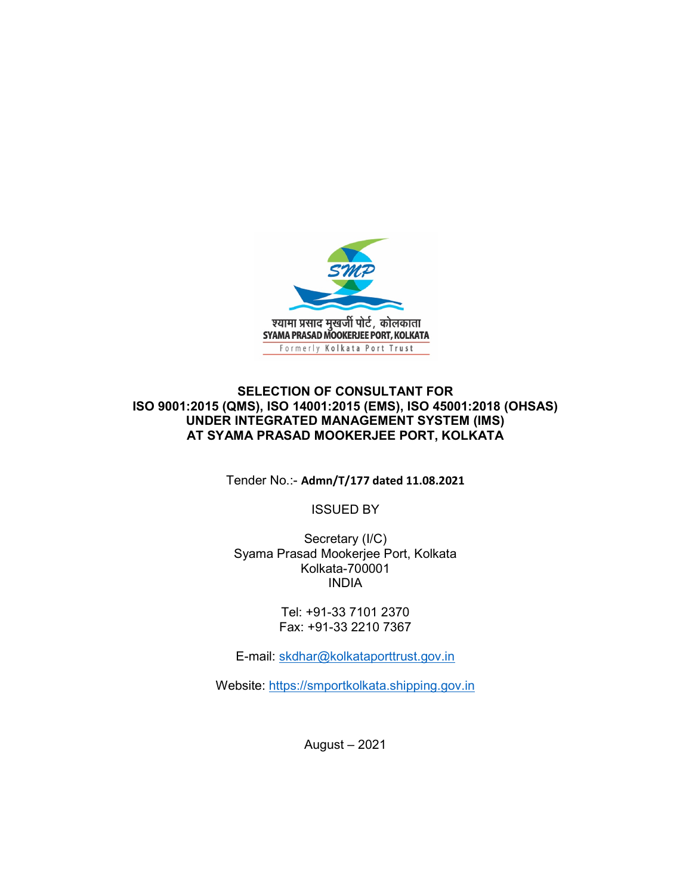

## SELECTION OF CONSULTANT FOR ISO 9001:2015 (QMS), ISO 14001:2015 (EMS), ISO 45001:2018 (OHSAS) UNDER INTEGRATED MANAGEMENT SYSTEM (IMS) AT SYAMA PRASAD MOOKERJEE PORT, KOLKATA

Tender No.:- Admn/T/177 dated 11.08.2021

ISSUED BY

Secretary (I/C) Syama Prasad Mookerjee Port, Kolkata Kolkata-700001 INDIA

> Tel: +91-33 7101 2370 Fax: +91-33 2210 7367

E-mail: skdhar@kolkataporttrust.gov.in

Website: https://smportkolkata.shipping.gov.in

August – 2021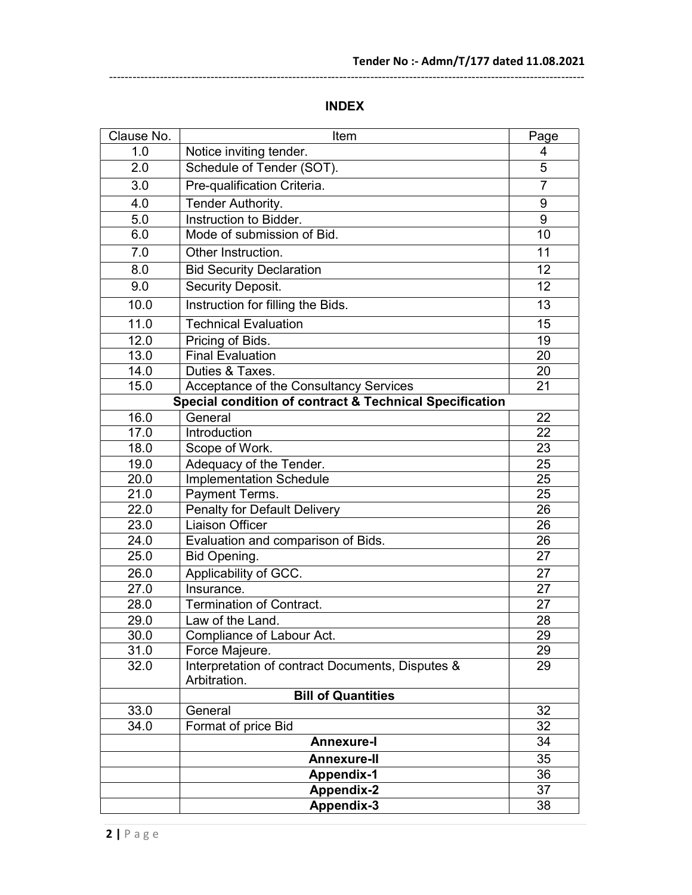# INDEX

--------------------------------------------------------------------------------------------------------------------------

| Clause No. | Item                                                             |                 |
|------------|------------------------------------------------------------------|-----------------|
| 1.0        | Notice inviting tender.                                          | 4               |
| 2.0        | Schedule of Tender (SOT).                                        | $\overline{5}$  |
| 3.0        | Pre-qualification Criteria.                                      | $\overline{7}$  |
| 4.0        | Tender Authority.                                                | 9               |
| 5.0        | Instruction to Bidder.                                           | 9               |
| 6.0        | Mode of submission of Bid.                                       | 10              |
| 7.0        | Other Instruction.                                               | 11              |
| 8.0        | <b>Bid Security Declaration</b>                                  | 12              |
| 9.0        | Security Deposit.                                                | 12 <sup>2</sup> |
| 10.0       | Instruction for filling the Bids.                                | 13              |
| 11.0       | <b>Technical Evaluation</b>                                      | 15              |
| 12.0       | Pricing of Bids.                                                 | 19              |
| 13.0       | <b>Final Evaluation</b>                                          | 20              |
| 14.0       | Duties & Taxes.                                                  | 20              |
| 15.0       | Acceptance of the Consultancy Services                           | 21              |
|            | Special condition of contract & Technical Specification          |                 |
| 16.0       | General                                                          | 22              |
| 17.0       | Introduction                                                     | $\overline{22}$ |
| 18.0       | Scope of Work.                                                   | 23              |
| 19.0       | Adequacy of the Tender.                                          | 25              |
| 20.0       | <b>Implementation Schedule</b>                                   | 25              |
| 21.0       | Payment Terms.                                                   | 25              |
| 22.0       | <b>Penalty for Default Delivery</b>                              | $\overline{26}$ |
| 23.0       | <b>Liaison Officer</b>                                           | 26              |
| 24.0       | Evaluation and comparison of Bids.                               | 26              |
| 25.0       | Bid Opening.                                                     | 27              |
| 26.0       | Applicability of GCC.                                            | 27              |
| 27.0       | Insurance.                                                       | 27              |
| 28.0       | <b>Termination of Contract.</b>                                  | 27              |
| 29.0       | Law of the Land.                                                 | 28              |
| 30.0       | Compliance of Labour Act.                                        | 29              |
| 31.0       | Force Majeure.                                                   | 29              |
| 32.0       | Interpretation of contract Documents, Disputes &<br>Arbitration. | 29              |
|            | <b>Bill of Quantities</b>                                        |                 |
| 33.0       | General                                                          | 32              |
| 34.0       | Format of price Bid                                              | 32              |
|            | <b>Annexure-I</b>                                                | 34              |
|            | <b>Annexure-II</b>                                               | 35              |
|            | <b>Appendix-1</b>                                                | 36              |
|            | <b>Appendix-2</b>                                                | 37              |
|            | Appendix-3                                                       | 38              |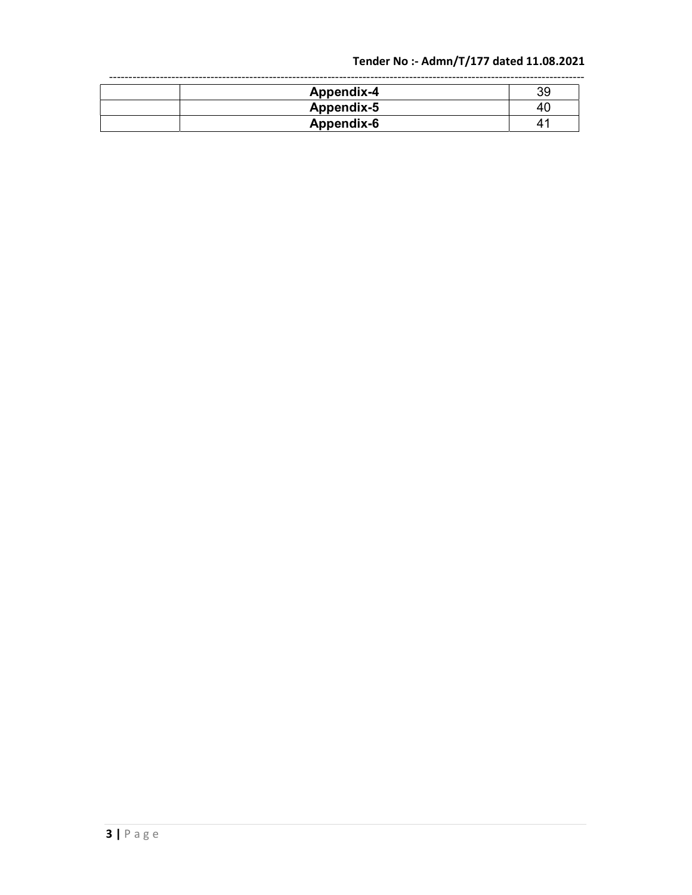# Tender No :- Admn/T/177 dated 11.08.2021

| Appendix-4 | 39 |
|------------|----|
| Appendix-5 | 4  |
| Appendix-6 |    |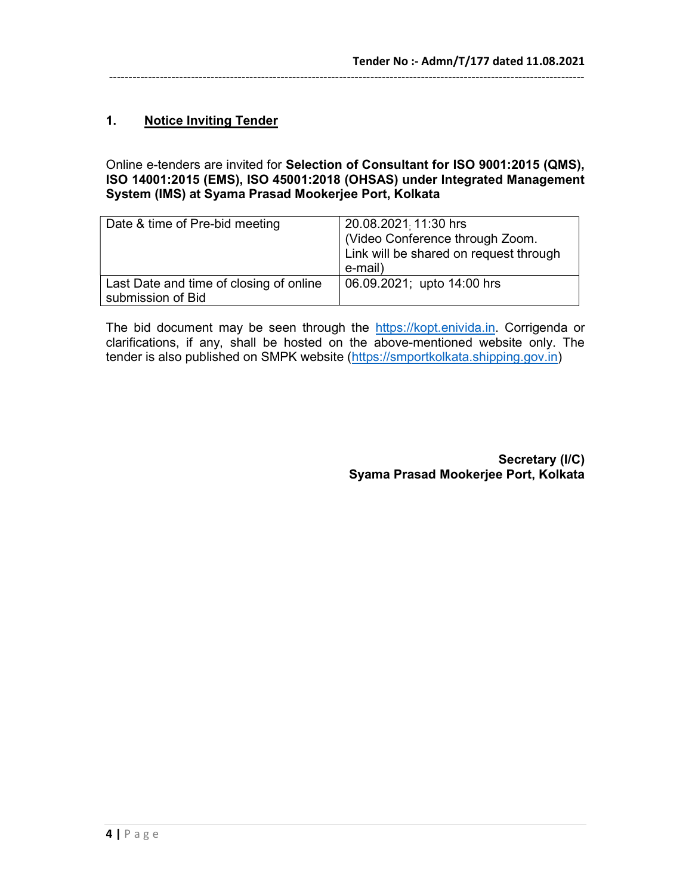# 1. Notice Inviting Tender

#### Online e-tenders are invited for Selection of Consultant for ISO 9001:2015 (QMS), ISO 14001:2015 (EMS), ISO 45001:2018 (OHSAS) under Integrated Management System (IMS) at Syama Prasad Mookerjee Port, Kolkata

| Date & time of Pre-bid meeting                               | 20.08.2021 11:30 hrs<br>(Video Conference through Zoom.<br>Link will be shared on request through<br>e-mail) |
|--------------------------------------------------------------|--------------------------------------------------------------------------------------------------------------|
| Last Date and time of closing of online<br>submission of Bid | 06.09.2021; upto 14:00 hrs                                                                                   |

The bid document may be seen through the https://kopt.enivida.in. Corrigenda or clarifications, if any, shall be hosted on the above-mentioned website only. The tender is also published on SMPK website (https://smportkolkata.shipping.gov.in)

> Secretary (I/C) Syama Prasad Mookerjee Port, Kolkata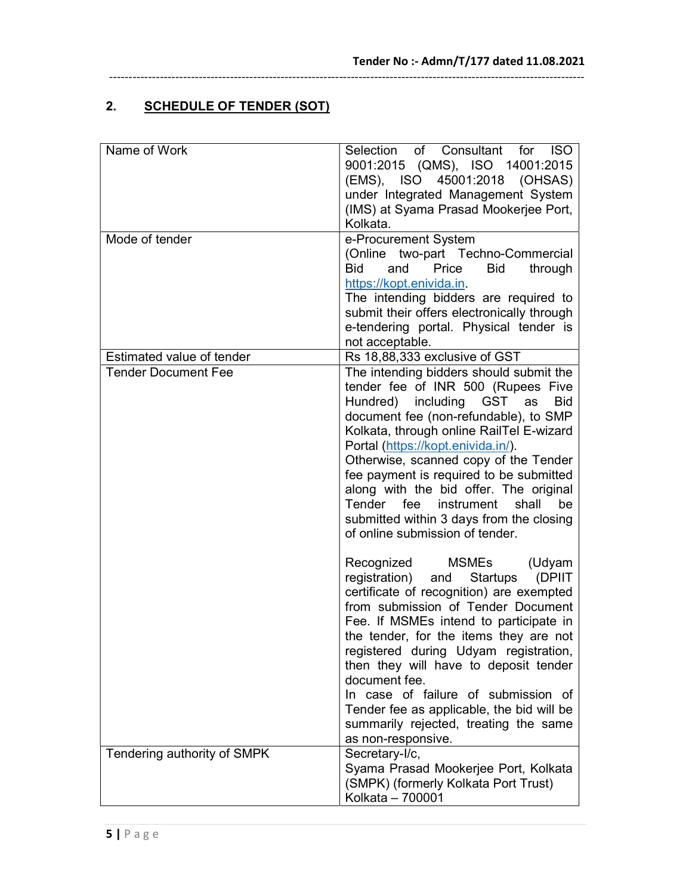# 2. SCHEDULE OF TENDER (SOT)

| Name of Work                                            | Selection of Consultant for ISO<br>9001:2015 (QMS), ISO 14001:2015<br>45001:2018 (OHSAS)<br>(EMS), ISO<br>under Integrated Management System<br>(IMS) at Syama Prasad Mookerjee Port,<br>Kolkata.                                                                                                                                                                                                                                                                                                                                               |
|---------------------------------------------------------|-------------------------------------------------------------------------------------------------------------------------------------------------------------------------------------------------------------------------------------------------------------------------------------------------------------------------------------------------------------------------------------------------------------------------------------------------------------------------------------------------------------------------------------------------|
| Mode of tender                                          | e-Procurement System<br>(Online two-part Techno-Commercial<br><b>Bid</b><br>and<br>Price<br>Bid<br>through<br>https://kopt.enivida.in.<br>The intending bidders are required to<br>submit their offers electronically through<br>e-tendering portal. Physical tender is<br>not acceptable.                                                                                                                                                                                                                                                      |
| Estimated value of tender<br><b>Tender Document Fee</b> | Rs 18,88,333 exclusive of GST<br>The intending bidders should submit the<br>tender fee of INR 500 (Rupees Five<br>Hundred) including GST<br><b>Bid</b><br>as<br>document fee (non-refundable), to SMP<br>Kolkata, through online RailTel E-wizard<br>Portal (https://kopt.enivida.in/).<br>Otherwise, scanned copy of the Tender<br>fee payment is required to be submitted<br>along with the bid offer. The original<br>shall<br>be<br>Tender fee<br>instrument<br>submitted within 3 days from the closing<br>of online submission of tender. |
|                                                         | Recognized<br>MSMEs<br>(Udyam<br>and Startups (DPIIT<br>registration)<br>certificate of recognition) are exempted<br>from submission of Tender Document<br>Fee. If MSMEs intend to participate in<br>the tender, for the items they are not<br>registered during Udyam registration,<br>then they will have to deposit tender<br>document fee.<br>In case of failure of submission of<br>Tender fee as applicable, the bid will be<br>summarily rejected, treating the same                                                                     |
| Tendering authority of SMPK                             | as non-responsive.<br>Secretary-I/c,<br>Syama Prasad Mookerjee Port, Kolkata<br>(SMPK) (formerly Kolkata Port Trust)<br>Kolkata - 700001                                                                                                                                                                                                                                                                                                                                                                                                        |

--------------------------------------------------------------------------------------------------------------------------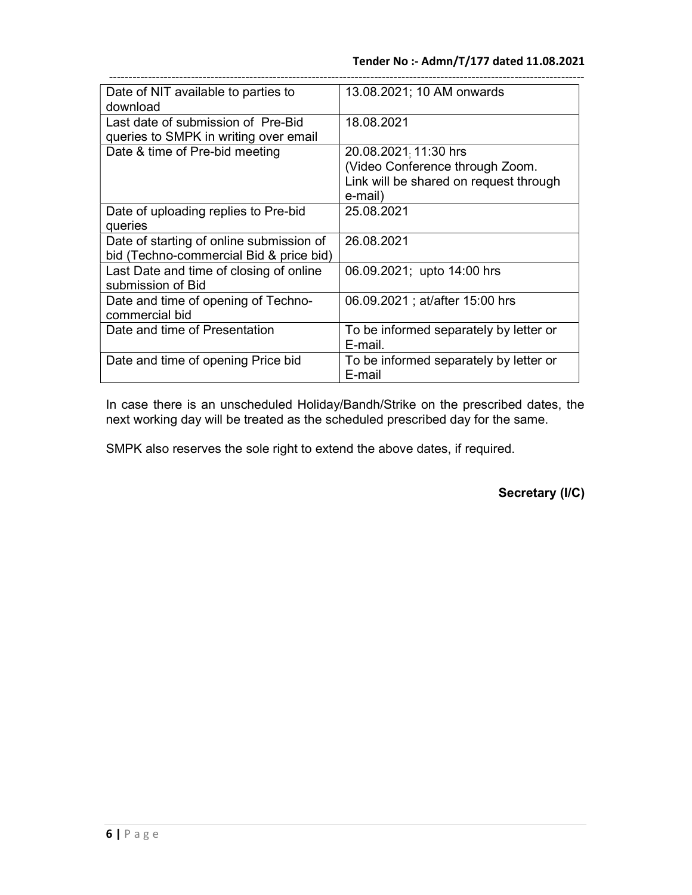| Date of NIT available to parties to      | 13.08.2021; 10 AM onwards              |  |  |
|------------------------------------------|----------------------------------------|--|--|
| download                                 |                                        |  |  |
| Last date of submission of Pre-Bid       | 18.08.2021                             |  |  |
| queries to SMPK in writing over email    |                                        |  |  |
| Date & time of Pre-bid meeting           | 20.08.2021 11:30 hrs                   |  |  |
|                                          | (Video Conference through Zoom.        |  |  |
|                                          | Link will be shared on request through |  |  |
|                                          | e-mail)                                |  |  |
| Date of uploading replies to Pre-bid     | 25.08.2021                             |  |  |
| queries                                  |                                        |  |  |
| Date of starting of online submission of | 26.08.2021                             |  |  |
| bid (Techno-commercial Bid & price bid)  |                                        |  |  |
| Last Date and time of closing of online  | 06.09.2021; upto 14:00 hrs             |  |  |
| submission of Bid                        |                                        |  |  |
| Date and time of opening of Techno-      | 06.09.2021; at/after 15:00 hrs         |  |  |
| commercial bid                           |                                        |  |  |
| Date and time of Presentation            | To be informed separately by letter or |  |  |
|                                          | E-mail.                                |  |  |
| Date and time of opening Price bid       | To be informed separately by letter or |  |  |
|                                          | E-mail                                 |  |  |

In case there is an unscheduled Holiday/Bandh/Strike on the prescribed dates, the next working day will be treated as the scheduled prescribed day for the same.

SMPK also reserves the sole right to extend the above dates, if required.

Secretary (I/C)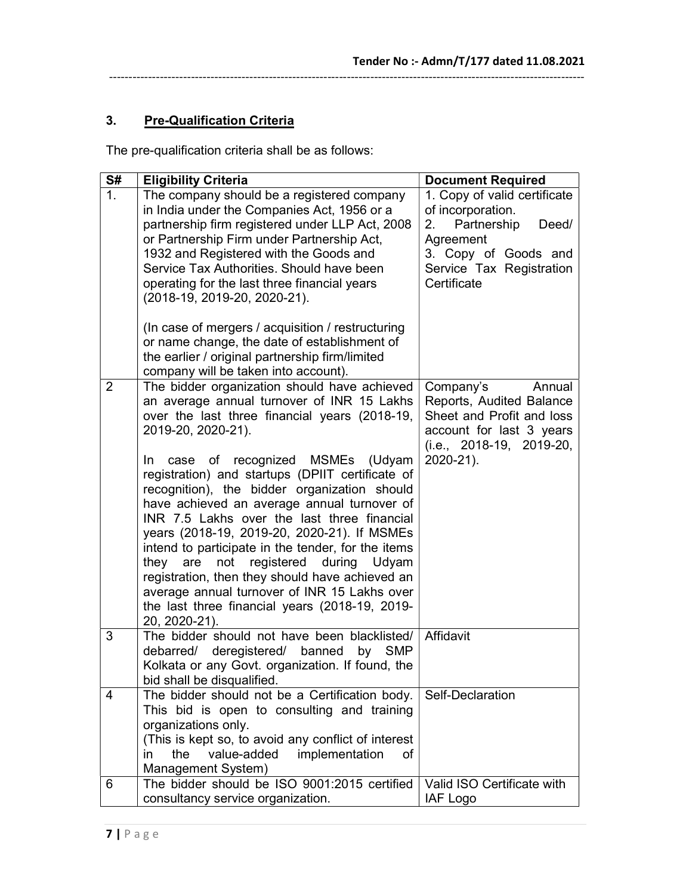3. Pre-Qualification Criteria

The pre-qualification criteria shall be as follows:

| S#             | <b>Eligibility Criteria</b>                                                                                                                                                                                                                                                                                                                                                                                                                                                                                                                                          | <b>Document Required</b>                                                                                                                                        |
|----------------|----------------------------------------------------------------------------------------------------------------------------------------------------------------------------------------------------------------------------------------------------------------------------------------------------------------------------------------------------------------------------------------------------------------------------------------------------------------------------------------------------------------------------------------------------------------------|-----------------------------------------------------------------------------------------------------------------------------------------------------------------|
| 1 <sub>1</sub> | The company should be a registered company<br>in India under the Companies Act, 1956 or a<br>partnership firm registered under LLP Act, 2008<br>or Partnership Firm under Partnership Act,<br>1932 and Registered with the Goods and<br>Service Tax Authorities, Should have been<br>operating for the last three financial years<br>(2018-19, 2019-20, 2020-21).<br>(In case of mergers / acquisition / restructuring                                                                                                                                               | 1. Copy of valid certificate<br>of incorporation.<br>2.<br>Partnership<br>Deed/<br>Agreement<br>3. Copy of Goods and<br>Service Tax Registration<br>Certificate |
|                | or name change, the date of establishment of<br>the earlier / original partnership firm/limited<br>company will be taken into account).                                                                                                                                                                                                                                                                                                                                                                                                                              |                                                                                                                                                                 |
| $\overline{2}$ | The bidder organization should have achieved<br>an average annual turnover of INR 15 Lakhs<br>over the last three financial years (2018-19,<br>2019-20, 2020-21).                                                                                                                                                                                                                                                                                                                                                                                                    | Company's<br>Annual<br>Reports, Audited Balance<br>Sheet and Profit and loss<br>account for last 3 years<br>$(i.e., 2018-19, 2019-20,$                          |
|                | case of recognized MSMEs (Udyam<br>In.<br>registration) and startups (DPIIT certificate of<br>recognition), the bidder organization should<br>have achieved an average annual turnover of<br>INR 7.5 Lakhs over the last three financial<br>years (2018-19, 2019-20, 2020-21). If MSMEs<br>intend to participate in the tender, for the items<br>not registered<br>they<br>are<br>during Udyam<br>registration, then they should have achieved an<br>average annual turnover of INR 15 Lakhs over<br>the last three financial years (2018-19, 2019-<br>20, 2020-21). | 2020-21).                                                                                                                                                       |
| 3              | The bidder should not have been blacklisted/<br>debarred/ deregistered/ banned<br>by SMP<br>Kolkata or any Govt. organization. If found, the<br>bid shall be disqualified.                                                                                                                                                                                                                                                                                                                                                                                           | Affidavit                                                                                                                                                       |
| 4              | The bidder should not be a Certification body.<br>This bid is open to consulting and training<br>organizations only.<br>(This is kept so, to avoid any conflict of interest<br>value-added<br>the<br>implementation<br>in.<br>οf<br>Management System)                                                                                                                                                                                                                                                                                                               | Self-Declaration                                                                                                                                                |
| 6              | The bidder should be ISO 9001:2015 certified<br>consultancy service organization.                                                                                                                                                                                                                                                                                                                                                                                                                                                                                    | Valid ISO Certificate with<br><b>IAF Logo</b>                                                                                                                   |

--------------------------------------------------------------------------------------------------------------------------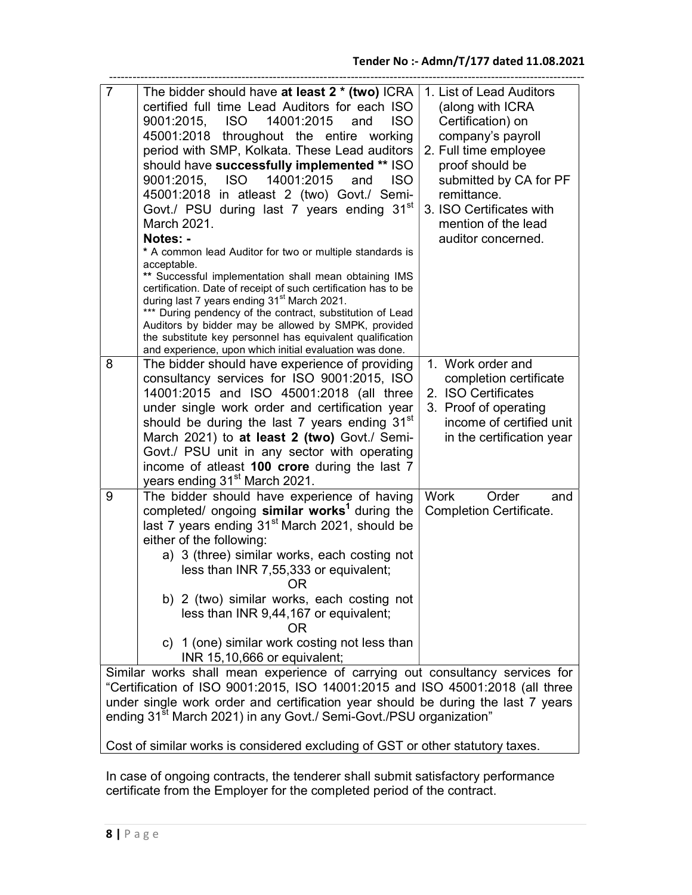| $\overline{7}$                                                                                                                                               | The bidder should have at least 2 * (two) ICRA<br>certified full time Lead Auditors for each ISO<br>9001:2015.<br><b>ISO</b><br>14001:2015<br><b>ISO</b><br>and<br>45001:2018 throughout the entire working<br>period with SMP, Kolkata. These Lead auditors<br>should have successfully implemented ** ISO<br>9001:2015, ISO<br>14001:2015<br><b>ISO</b><br>and<br>45001:2018 in atleast 2 (two) Govt./ Semi-<br>Govt./ PSU during last 7 years ending 31 <sup>st</sup><br>March 2021.<br>Notes: -<br>* A common lead Auditor for two or multiple standards is<br>acceptable.<br>** Successful implementation shall mean obtaining IMS<br>certification. Date of receipt of such certification has to be<br>during last 7 years ending 31 <sup>st</sup> March 2021.<br>*** During pendency of the contract, substitution of Lead<br>Auditors by bidder may be allowed by SMPK, provided<br>the substitute key personnel has equivalent qualification<br>and experience, upon which initial evaluation was done. | 1. List of Lead Auditors<br>(along with ICRA<br>Certification) on<br>company's payroll<br>2. Full time employee<br>proof should be<br>submitted by CA for PF<br>remittance.<br>3. ISO Certificates with<br>mention of the lead<br>auditor concerned. |  |
|--------------------------------------------------------------------------------------------------------------------------------------------------------------|------------------------------------------------------------------------------------------------------------------------------------------------------------------------------------------------------------------------------------------------------------------------------------------------------------------------------------------------------------------------------------------------------------------------------------------------------------------------------------------------------------------------------------------------------------------------------------------------------------------------------------------------------------------------------------------------------------------------------------------------------------------------------------------------------------------------------------------------------------------------------------------------------------------------------------------------------------------------------------------------------------------|------------------------------------------------------------------------------------------------------------------------------------------------------------------------------------------------------------------------------------------------------|--|
| 8                                                                                                                                                            | The bidder should have experience of providing<br>consultancy services for ISO 9001:2015, ISO<br>14001:2015 and ISO 45001:2018 (all three<br>under single work order and certification year<br>should be during the last 7 years ending 31 <sup>st</sup><br>March 2021) to at least 2 (two) Govt./ Semi-<br>Govt./ PSU unit in any sector with operating<br>income of atleast 100 crore during the last 7<br>years ending 31 <sup>st</sup> March 2021.                                                                                                                                                                                                                                                                                                                                                                                                                                                                                                                                                           | 1. Work order and<br>completion certificate<br>2. ISO Certificates<br>3. Proof of operating<br>income of certified unit<br>in the certification year                                                                                                 |  |
| 9                                                                                                                                                            | The bidder should have experience of having<br>completed/ ongoing similar works <sup>1</sup> during the<br>last 7 years ending 31 <sup>st</sup> March 2021, should be<br>either of the following:<br>a) 3 (three) similar works, each costing not<br>less than INR 7,55,333 or equivalent;<br>ΟR<br>b) 2 (two) similar works, each costing not<br>less than INR 9,44,167 or equivalent;<br>OR<br>c) 1 (one) similar work costing not less than<br>INR 15,10,666 or equivalent;                                                                                                                                                                                                                                                                                                                                                                                                                                                                                                                                   | <b>Work</b><br>Order<br>and<br><b>Completion Certificate.</b>                                                                                                                                                                                        |  |
| Similar works shall mean experience of carrying out consultancy services for<br>"Cortification of ISO 0001:2015 ISO 14001:2015 and ISO 45001:2019 (all throa |                                                                                                                                                                                                                                                                                                                                                                                                                                                                                                                                                                                                                                                                                                                                                                                                                                                                                                                                                                                                                  |                                                                                                                                                                                                                                                      |  |

"Certification of ISO 9001:2015, ISO 14001:2015 and ISO 45001:2018 (all three under single work order and certification year should be during the last 7 years ending 31<sup>st</sup> March 2021) in any Govt./ Semi-Govt./PSU organization"

Cost of similar works is considered excluding of GST or other statutory taxes.

In case of ongoing contracts, the tenderer shall submit satisfactory performance certificate from the Employer for the completed period of the contract.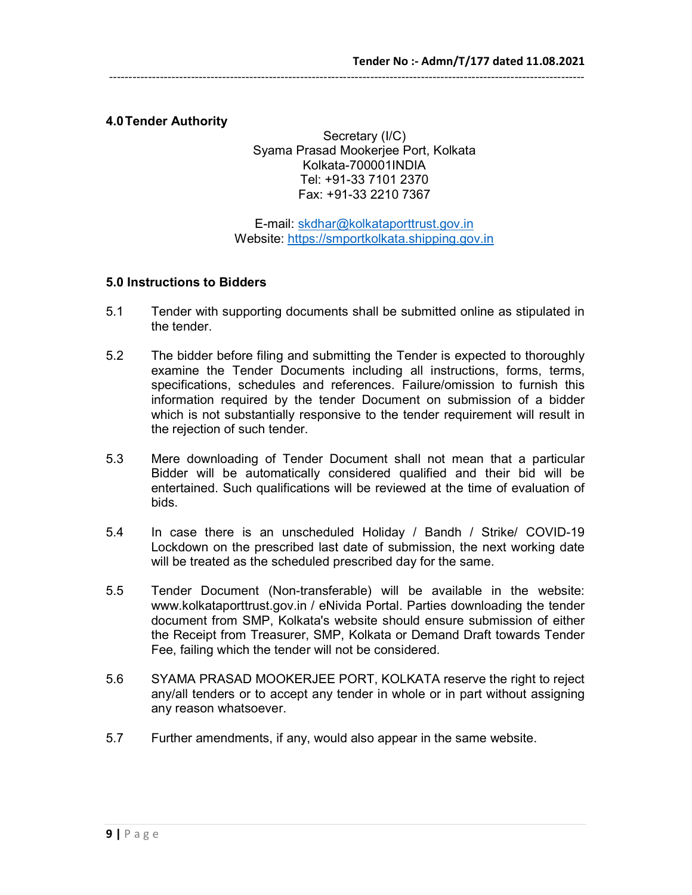## 4.0 Tender Authority

Secretary (I/C) Syama Prasad Mookerjee Port, Kolkata Kolkata-700001INDIA Tel: +91-33 7101 2370 Fax: +91-33 2210 7367

E-mail: skdhar@kolkataporttrust.gov.in Website: https://smportkolkata.shipping.gov.in

#### 5.0 Instructions to Bidders

- 5.1 Tender with supporting documents shall be submitted online as stipulated in the tender.
- 5.2 The bidder before filing and submitting the Tender is expected to thoroughly examine the Tender Documents including all instructions, forms, terms, specifications, schedules and references. Failure/omission to furnish this information required by the tender Document on submission of a bidder which is not substantially responsive to the tender requirement will result in the rejection of such tender.
- 5.3 Mere downloading of Tender Document shall not mean that a particular Bidder will be automatically considered qualified and their bid will be entertained. Such qualifications will be reviewed at the time of evaluation of bids.
- 5.4 In case there is an unscheduled Holiday / Bandh / Strike/ COVID-19 Lockdown on the prescribed last date of submission, the next working date will be treated as the scheduled prescribed day for the same.
- 5.5 Tender Document (Non-transferable) will be available in the website: www.kolkataporttrust.gov.in / eNivida Portal. Parties downloading the tender document from SMP, Kolkata's website should ensure submission of either the Receipt from Treasurer, SMP, Kolkata or Demand Draft towards Tender Fee, failing which the tender will not be considered.
- 5.6 SYAMA PRASAD MOOKERJEE PORT, KOLKATA reserve the right to reject any/all tenders or to accept any tender in whole or in part without assigning any reason whatsoever.
- 5.7 Further amendments, if any, would also appear in the same website.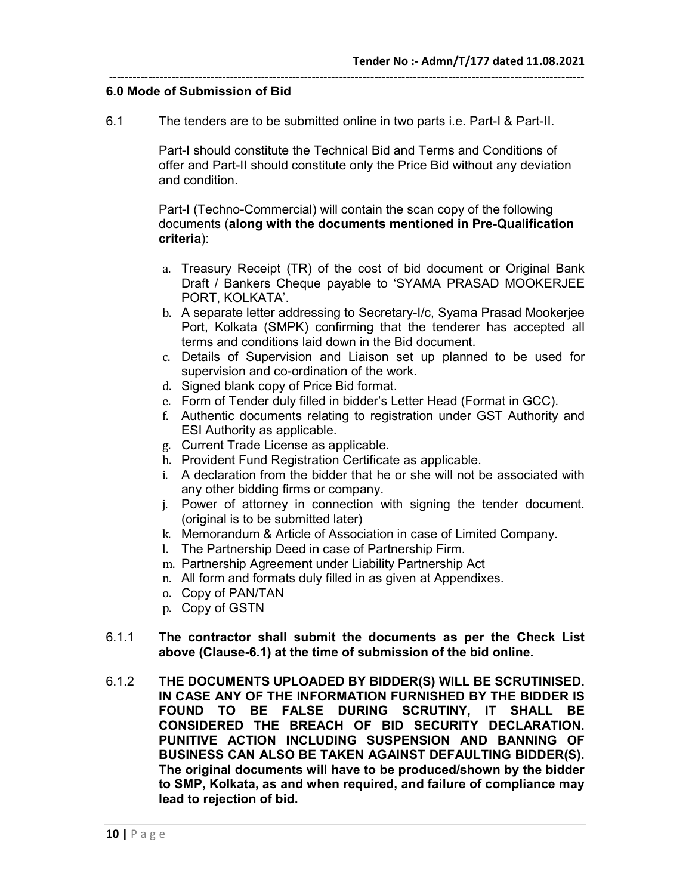#### -------------------------------------------------------------------------------------------------------------------------- 6.0 Mode of Submission of Bid

6.1 The tenders are to be submitted online in two parts i.e. Part-I & Part-II.

Part-I should constitute the Technical Bid and Terms and Conditions of offer and Part-II should constitute only the Price Bid without any deviation and condition.

Part-I (Techno-Commercial) will contain the scan copy of the following documents (along with the documents mentioned in Pre-Qualification criteria):

- a. Treasury Receipt (TR) of the cost of bid document or Original Bank Draft / Bankers Cheque payable to 'SYAMA PRASAD MOOKERJEE PORT, KOLKATA'.
- b. A separate letter addressing to Secretary-I/c, Syama Prasad Mookerjee Port, Kolkata (SMPK) confirming that the tenderer has accepted all terms and conditions laid down in the Bid document.
- c. Details of Supervision and Liaison set up planned to be used for supervision and co-ordination of the work.
- d. Signed blank copy of Price Bid format.
- e. Form of Tender duly filled in bidder's Letter Head (Format in GCC).
- f. Authentic documents relating to registration under GST Authority and ESI Authority as applicable.
- g. Current Trade License as applicable.
- h. Provident Fund Registration Certificate as applicable.
- i. A declaration from the bidder that he or she will not be associated with any other bidding firms or company.
- j. Power of attorney in connection with signing the tender document. (original is to be submitted later)
- k. Memorandum & Article of Association in case of Limited Company.
- l. The Partnership Deed in case of Partnership Firm.
- m. Partnership Agreement under Liability Partnership Act
- n. All form and formats duly filled in as given at Appendixes.
- o. Copy of PAN/TAN
- p. Copy of GSTN
- 6.1.1 The contractor shall submit the documents as per the Check List above (Clause-6.1) at the time of submission of the bid online.
- 6.1.2 THE DOCUMENTS UPLOADED BY BIDDER(S) WILL BE SCRUTINISED. IN CASE ANY OF THE INFORMATION FURNISHED BY THE BIDDER IS FOUND TO BE FALSE DURING SCRUTINY, IT SHALL BE CONSIDERED THE BREACH OF BID SECURITY DECLARATION. PUNITIVE ACTION INCLUDING SUSPENSION AND BANNING OF BUSINESS CAN ALSO BE TAKEN AGAINST DEFAULTING BIDDER(S). The original documents will have to be produced/shown by the bidder to SMP, Kolkata, as and when required, and failure of compliance may lead to rejection of bid.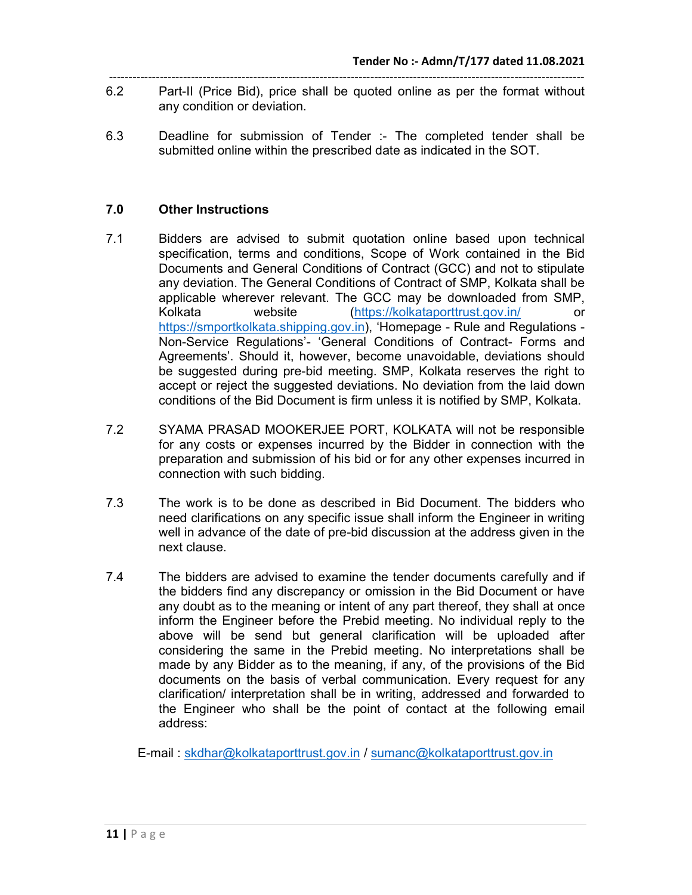- -------------------------------------------------------------------------------------------------------------------------- 6.2 Part-II (Price Bid), price shall be quoted online as per the format without any condition or deviation.
- 6.3 Deadline for submission of Tender :- The completed tender shall be submitted online within the prescribed date as indicated in the SOT.

## 7.0 Other Instructions

- 7.1 Bidders are advised to submit quotation online based upon technical specification, terms and conditions, Scope of Work contained in the Bid Documents and General Conditions of Contract (GCC) and not to stipulate any deviation. The General Conditions of Contract of SMP, Kolkata shall be applicable wherever relevant. The GCC may be downloaded from SMP, Kolkata website (https://kolkataporttrust.gov.in/ or https://smportkolkata.shipping.gov.in), 'Homepage - Rule and Regulations - Non-Service Regulations'- 'General Conditions of Contract- Forms and Agreements'. Should it, however, become unavoidable, deviations should be suggested during pre-bid meeting. SMP, Kolkata reserves the right to accept or reject the suggested deviations. No deviation from the laid down conditions of the Bid Document is firm unless it is notified by SMP, Kolkata.
- 7.2 SYAMA PRASAD MOOKERJEE PORT, KOLKATA will not be responsible for any costs or expenses incurred by the Bidder in connection with the preparation and submission of his bid or for any other expenses incurred in connection with such bidding.
- 7.3 The work is to be done as described in Bid Document. The bidders who need clarifications on any specific issue shall inform the Engineer in writing well in advance of the date of pre-bid discussion at the address given in the next clause.
- 7.4 The bidders are advised to examine the tender documents carefully and if the bidders find any discrepancy or omission in the Bid Document or have any doubt as to the meaning or intent of any part thereof, they shall at once inform the Engineer before the Prebid meeting. No individual reply to the above will be send but general clarification will be uploaded after considering the same in the Prebid meeting. No interpretations shall be made by any Bidder as to the meaning, if any, of the provisions of the Bid documents on the basis of verbal communication. Every request for any clarification/ interpretation shall be in writing, addressed and forwarded to the Engineer who shall be the point of contact at the following email address:

E-mail : skdhar@kolkataporttrust.gov.in / sumanc@kolkataporttrust.gov.in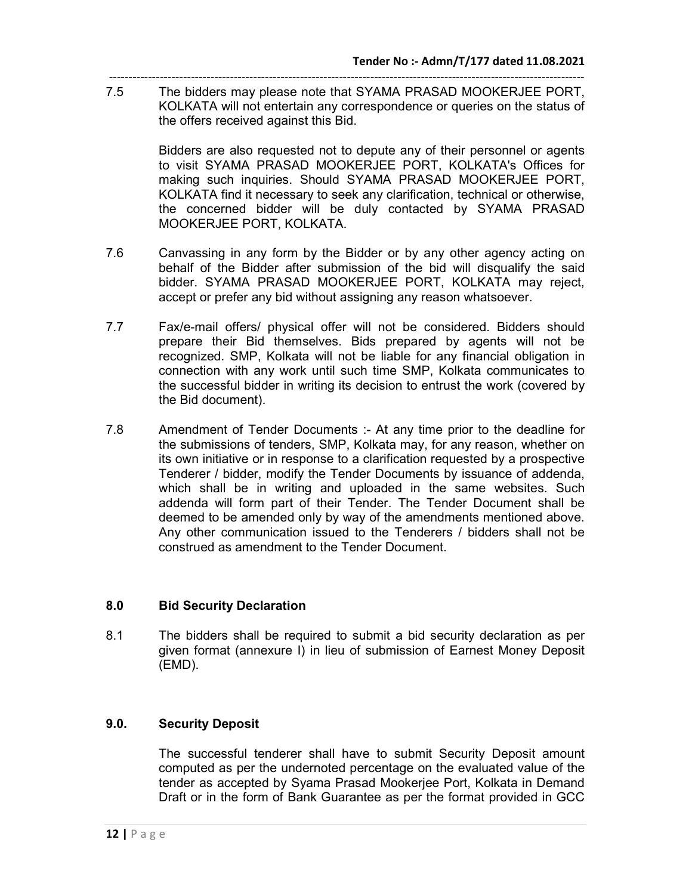-------------------------------------------------------------------------------------------------------------------------- 7.5 The bidders may please note that SYAMA PRASAD MOOKERJEE PORT, KOLKATA will not entertain any correspondence or queries on the status of the offers received against this Bid.

> Bidders are also requested not to depute any of their personnel or agents to visit SYAMA PRASAD MOOKERJEE PORT, KOLKATA's Offices for making such inquiries. Should SYAMA PRASAD MOOKERJEE PORT, KOLKATA find it necessary to seek any clarification, technical or otherwise, the concerned bidder will be duly contacted by SYAMA PRASAD MOOKERJEE PORT, KOLKATA.

- 7.6 Canvassing in any form by the Bidder or by any other agency acting on behalf of the Bidder after submission of the bid will disqualify the said bidder. SYAMA PRASAD MOOKERJEE PORT, KOLKATA may reject, accept or prefer any bid without assigning any reason whatsoever.
- 7.7 Fax/e-mail offers/ physical offer will not be considered. Bidders should prepare their Bid themselves. Bids prepared by agents will not be recognized. SMP, Kolkata will not be liable for any financial obligation in connection with any work until such time SMP, Kolkata communicates to the successful bidder in writing its decision to entrust the work (covered by the Bid document).
- 7.8 Amendment of Tender Documents :- At any time prior to the deadline for the submissions of tenders, SMP, Kolkata may, for any reason, whether on its own initiative or in response to a clarification requested by a prospective Tenderer / bidder, modify the Tender Documents by issuance of addenda, which shall be in writing and uploaded in the same websites. Such addenda will form part of their Tender. The Tender Document shall be deemed to be amended only by way of the amendments mentioned above. Any other communication issued to the Tenderers / bidders shall not be construed as amendment to the Tender Document.

## 8.0 Bid Security Declaration

8.1 The bidders shall be required to submit a bid security declaration as per given format (annexure I) in lieu of submission of Earnest Money Deposit (EMD).

#### 9.0. Security Deposit

The successful tenderer shall have to submit Security Deposit amount computed as per the undernoted percentage on the evaluated value of the tender as accepted by Syama Prasad Mookerjee Port, Kolkata in Demand Draft or in the form of Bank Guarantee as per the format provided in GCC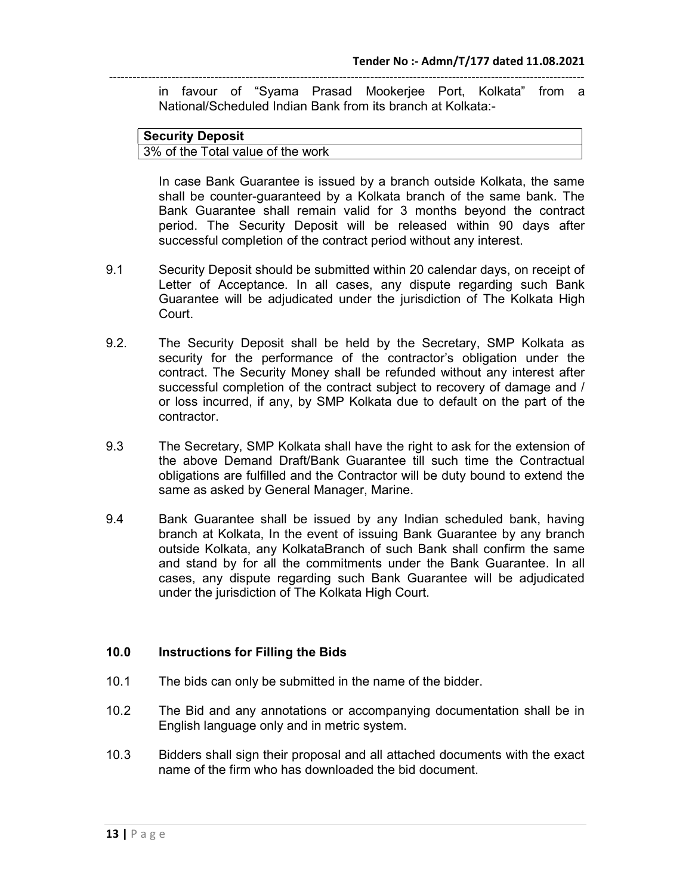in favour of "Syama Prasad Mookerjee Port, Kolkata" from a National/Scheduled Indian Bank from its branch at Kolkata:-

#### Security Deposit 3% of the Total value of the work

In case Bank Guarantee is issued by a branch outside Kolkata, the same shall be counter-guaranteed by a Kolkata branch of the same bank. The Bank Guarantee shall remain valid for 3 months beyond the contract period. The Security Deposit will be released within 90 days after successful completion of the contract period without any interest.

- 9.1 Security Deposit should be submitted within 20 calendar days, on receipt of Letter of Acceptance. In all cases, any dispute regarding such Bank Guarantee will be adjudicated under the jurisdiction of The Kolkata High Court.
- 9.2. The Security Deposit shall be held by the Secretary, SMP Kolkata as security for the performance of the contractor's obligation under the contract. The Security Money shall be refunded without any interest after successful completion of the contract subject to recovery of damage and / or loss incurred, if any, by SMP Kolkata due to default on the part of the contractor.
- 9.3 The Secretary, SMP Kolkata shall have the right to ask for the extension of the above Demand Draft/Bank Guarantee till such time the Contractual obligations are fulfilled and the Contractor will be duty bound to extend the same as asked by General Manager, Marine.
- 9.4 Bank Guarantee shall be issued by any Indian scheduled bank, having branch at Kolkata, In the event of issuing Bank Guarantee by any branch outside Kolkata, any KolkataBranch of such Bank shall confirm the same and stand by for all the commitments under the Bank Guarantee. In all cases, any dispute regarding such Bank Guarantee will be adjudicated under the jurisdiction of The Kolkata High Court.

## 10.0 Instructions for Filling the Bids

- 10.1 The bids can only be submitted in the name of the bidder.
- 10.2 The Bid and any annotations or accompanying documentation shall be in English language only and in metric system.
- 10.3 Bidders shall sign their proposal and all attached documents with the exact name of the firm who has downloaded the bid document.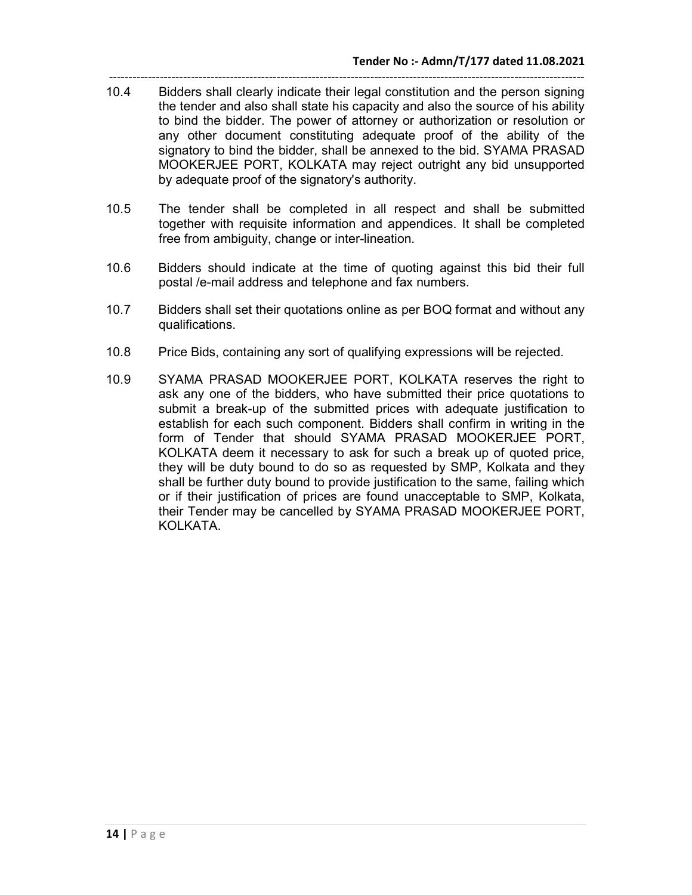- -------------------------------------------------------------------------------------------------------------------------- 10.4 Bidders shall clearly indicate their legal constitution and the person signing the tender and also shall state his capacity and also the source of his ability to bind the bidder. The power of attorney or authorization or resolution or any other document constituting adequate proof of the ability of the signatory to bind the bidder, shall be annexed to the bid. SYAMA PRASAD MOOKERJEE PORT, KOLKATA may reject outright any bid unsupported by adequate proof of the signatory's authority.
- 10.5 The tender shall be completed in all respect and shall be submitted together with requisite information and appendices. It shall be completed free from ambiguity, change or inter-lineation.
- 10.6 Bidders should indicate at the time of quoting against this bid their full postal /e-mail address and telephone and fax numbers.
- 10.7 Bidders shall set their quotations online as per BOQ format and without any qualifications.
- 10.8 Price Bids, containing any sort of qualifying expressions will be rejected.
- 10.9 SYAMA PRASAD MOOKERJEE PORT, KOLKATA reserves the right to ask any one of the bidders, who have submitted their price quotations to submit a break-up of the submitted prices with adequate justification to establish for each such component. Bidders shall confirm in writing in the form of Tender that should SYAMA PRASAD MOOKERJEE PORT, KOLKATA deem it necessary to ask for such a break up of quoted price, they will be duty bound to do so as requested by SMP, Kolkata and they shall be further duty bound to provide justification to the same, failing which or if their justification of prices are found unacceptable to SMP, Kolkata, their Tender may be cancelled by SYAMA PRASAD MOOKERJEE PORT, KOLKATA.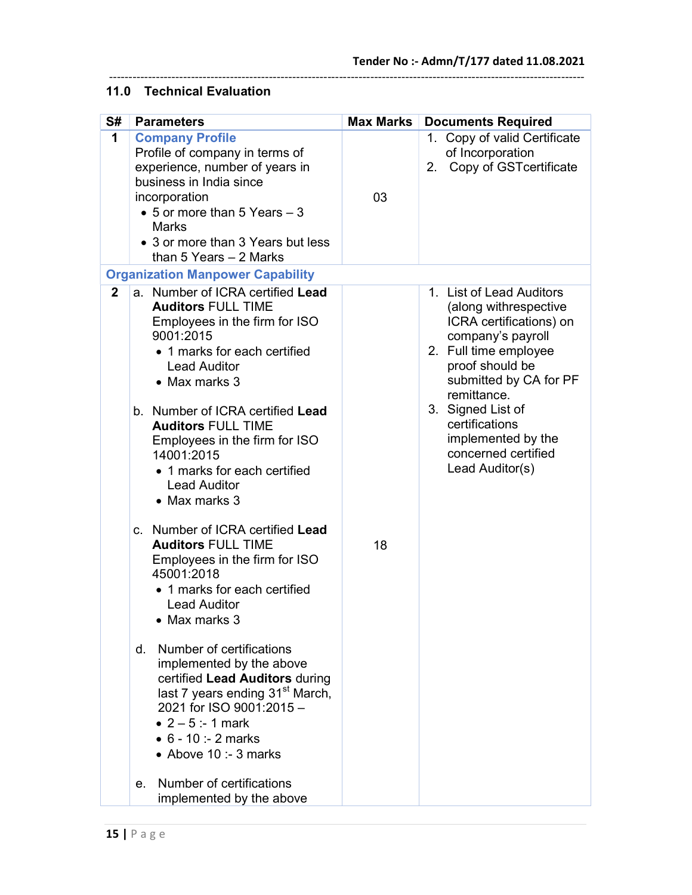# 11.0 Technical Evaluation

| S#             | <b>Parameters</b>                                                                                                                                                                                                                                                                                                                                                                                                                                                                                                                                                                                                                                                                                                                                                                                                            | <b>Max Marks</b> | <b>Documents Required</b>                                                                                                                                                                                                                                                                     |
|----------------|------------------------------------------------------------------------------------------------------------------------------------------------------------------------------------------------------------------------------------------------------------------------------------------------------------------------------------------------------------------------------------------------------------------------------------------------------------------------------------------------------------------------------------------------------------------------------------------------------------------------------------------------------------------------------------------------------------------------------------------------------------------------------------------------------------------------------|------------------|-----------------------------------------------------------------------------------------------------------------------------------------------------------------------------------------------------------------------------------------------------------------------------------------------|
| 1              | <b>Company Profile</b><br>Profile of company in terms of<br>experience, number of years in<br>business in India since<br>incorporation<br>• 5 or more than 5 Years $-3$<br>Marks<br>• 3 or more than 3 Years but less<br>than 5 Years $-2$ Marks                                                                                                                                                                                                                                                                                                                                                                                                                                                                                                                                                                             | 03               | 1. Copy of valid Certificate<br>of Incorporation<br>Copy of GSTcertificate<br>2.                                                                                                                                                                                                              |
|                | <b>Organization Manpower Capability</b>                                                                                                                                                                                                                                                                                                                                                                                                                                                                                                                                                                                                                                                                                                                                                                                      |                  |                                                                                                                                                                                                                                                                                               |
| $\overline{2}$ | a. Number of ICRA certified Lead<br><b>Auditors FULL TIME</b><br>Employees in the firm for ISO<br>9001:2015<br>• 1 marks for each certified<br><b>Lead Auditor</b><br>• Max marks 3<br>b. Number of ICRA certified Lead<br><b>Auditors FULL TIME</b><br>Employees in the firm for ISO<br>14001:2015<br>• 1 marks for each certified<br><b>Lead Auditor</b><br>• Max marks 3<br>c. Number of ICRA certified Lead<br><b>Auditors FULL TIME</b><br>Employees in the firm for ISO<br>45001:2018<br>• 1 marks for each certified<br><b>Lead Auditor</b><br>Max marks 3<br>Number of certifications<br>d.<br>implemented by the above<br>certified Lead Auditors during<br>last 7 years ending 31 <sup>st</sup> March,<br>2021 for ISO 9001:2015-<br>• $2 - 5: - 1$ mark<br>• $6 - 10$ :- 2 marks<br>$\bullet$ Above 10 :- 3 marks | 18               | 1. List of Lead Auditors<br>(along withrespective<br>ICRA certifications) on<br>company's payroll<br>2. Full time employee<br>proof should be<br>submitted by CA for PF<br>remittance.<br>3. Signed List of<br>certifications<br>implemented by the<br>concerned certified<br>Lead Auditor(s) |
|                | Number of certifications<br>e.<br>implemented by the above                                                                                                                                                                                                                                                                                                                                                                                                                                                                                                                                                                                                                                                                                                                                                                   |                  |                                                                                                                                                                                                                                                                                               |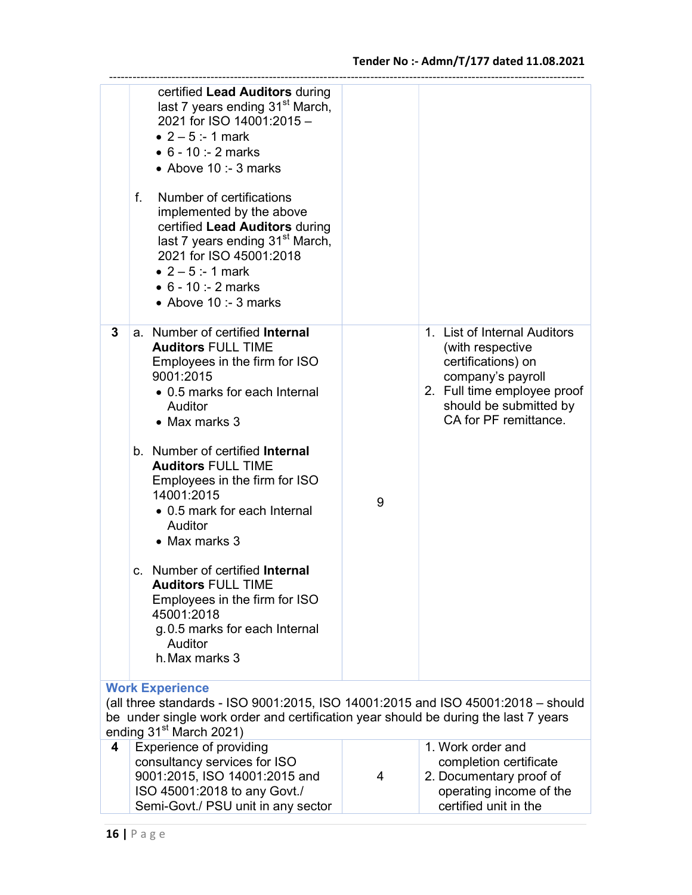operating income of the certified unit in the

|                                                                                                                                                                                                                                          | certified Lead Auditors during<br>last 7 years ending 31 <sup>st</sup> March,<br>2021 for ISO 14001:2015 -<br>• $2 - 5$ :-1 mark<br>$\bullet$ 6 - 10 :- 2 marks<br>$\bullet$ Above 10 :- 3 marks<br>Number of certifications<br>f.<br>implemented by the above<br>certified Lead Auditors during<br>last 7 years ending 31 <sup>st</sup> March,<br>2021 for ISO 45001:2018<br>• $2 - 5$ :-1 mark<br>• $6 - 10$ :- 2 marks<br>• Above $10:3$ marks |   |                                                                                                                                                                               |
|------------------------------------------------------------------------------------------------------------------------------------------------------------------------------------------------------------------------------------------|---------------------------------------------------------------------------------------------------------------------------------------------------------------------------------------------------------------------------------------------------------------------------------------------------------------------------------------------------------------------------------------------------------------------------------------------------|---|-------------------------------------------------------------------------------------------------------------------------------------------------------------------------------|
| 3                                                                                                                                                                                                                                        | a. Number of certified Internal<br><b>Auditors FULL TIME</b><br>Employees in the firm for ISO<br>9001:2015<br>• 0.5 marks for each Internal<br>Auditor<br>• Max marks 3                                                                                                                                                                                                                                                                           |   | 1. List of Internal Auditors<br>(with respective<br>certifications) on<br>company's payroll<br>2. Full time employee proof<br>should be submitted by<br>CA for PF remittance. |
|                                                                                                                                                                                                                                          | b. Number of certified <b>Internal</b><br><b>Auditors FULL TIME</b><br>Employees in the firm for ISO<br>14001:2015<br>• 0.5 mark for each Internal<br>Auditor<br>• Max marks 3                                                                                                                                                                                                                                                                    | 9 |                                                                                                                                                                               |
|                                                                                                                                                                                                                                          | c. Number of certified Internal<br><b>Auditors FULL TIME</b><br>Employees in the firm for ISO<br>45001:2018<br>g.0.5 marks for each Internal<br>Auditor<br>h. Max marks 3                                                                                                                                                                                                                                                                         |   |                                                                                                                                                                               |
| <b>Work Experience</b><br>(all three standards - ISO 9001:2015, ISO 14001:2015 and ISO 45001:2018 - should<br>be under single work order and certification year should be during the last 7 years<br>ending 31 <sup>st</sup> March 2021) |                                                                                                                                                                                                                                                                                                                                                                                                                                                   |   |                                                                                                                                                                               |
| 4                                                                                                                                                                                                                                        | <b>Experience of providing</b><br>consultancy services for ISO<br>9001:2015, ISO 14001:2015 and                                                                                                                                                                                                                                                                                                                                                   | 4 | 1. Work order and<br>completion certificate<br>2. Documentary proof of                                                                                                        |

ISO 45001:2018 to any Govt./ Semi-Govt./ PSU unit in any sector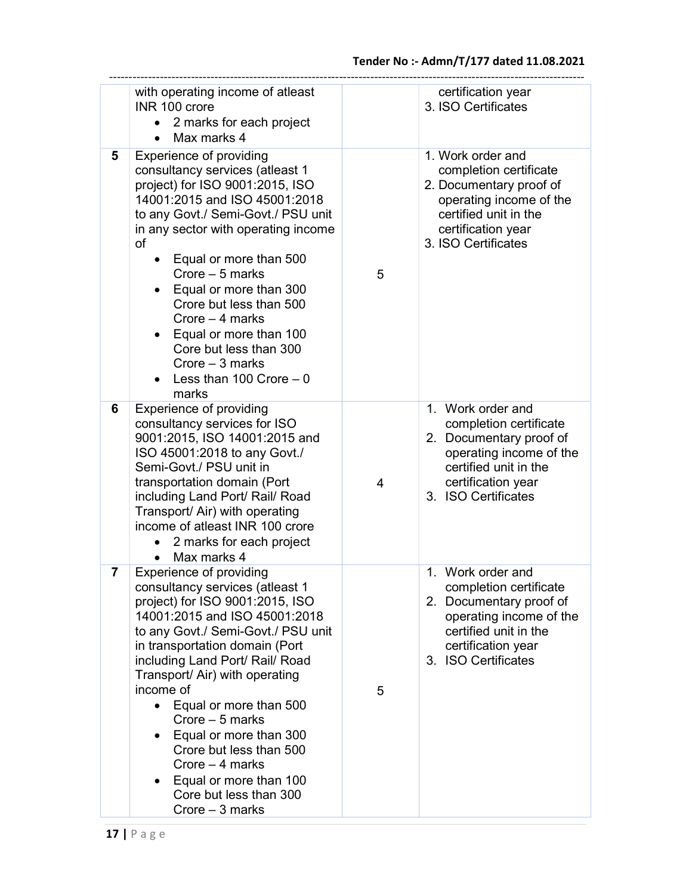|   | with operating income of atleast<br>INR 100 crore<br>2 marks for each project<br>$\bullet$<br>Max marks 4<br>$\bullet$                                                                                                                                                                                                                                                                                                                                                                                                  |   | certification year<br>3. ISO Certificates                                                                                                                               |
|---|-------------------------------------------------------------------------------------------------------------------------------------------------------------------------------------------------------------------------------------------------------------------------------------------------------------------------------------------------------------------------------------------------------------------------------------------------------------------------------------------------------------------------|---|-------------------------------------------------------------------------------------------------------------------------------------------------------------------------|
| 5 | <b>Experience of providing</b><br>consultancy services (atleast 1<br>project) for ISO 9001:2015, ISO<br>14001:2015 and ISO 45001:2018<br>to any Govt./ Semi-Govt./ PSU unit<br>in any sector with operating income<br>of<br>Equal or more than 500<br>$\bullet$<br>Crore - 5 marks<br>• Equal or more than 300<br>Crore but less than 500<br>Crore $-4$ marks<br>Equal or more than 100<br>$\bullet$<br>Core but less than 300<br>Crore $-3$ marks<br>Less than 100 Crore $-0$<br>marks                                 | 5 | 1. Work order and<br>completion certificate<br>2. Documentary proof of<br>operating income of the<br>certified unit in the<br>certification year<br>3. ISO Certificates |
| 6 | <b>Experience of providing</b><br>consultancy services for ISO<br>9001:2015, ISO 14001:2015 and<br>ISO 45001:2018 to any Govt./<br>Semi-Govt./ PSU unit in<br>transportation domain (Port<br>including Land Port/ Rail/ Road<br>Transport/ Air) with operating<br>income of atleast INR 100 crore<br>2 marks for each project<br>Max marks 4<br>$\bullet$                                                                                                                                                               | 4 | 1. Work order and<br>completion certificate<br>2. Documentary proof of<br>operating income of the<br>certified unit in the<br>certification year<br>3. ISO Certificates |
| 7 | <b>Experience of providing</b><br>consultancy services (atleast 1<br>project) for ISO 9001:2015, ISO<br>14001:2015 and ISO 45001:2018<br>to any Govt./ Semi-Govt./ PSU unit<br>in transportation domain (Port<br>including Land Port/ Rail/ Road<br>Transport/ Air) with operating<br>income of<br>Equal or more than 500<br>$\bullet$<br>Crore $-5$ marks<br>Equal or more than 300<br>Crore but less than 500<br>Crore $-4$ marks<br>Equal or more than 100<br>$\bullet$<br>Core but less than 300<br>Crore - 3 marks | 5 | 1. Work order and<br>completion certificate<br>2. Documentary proof of<br>operating income of the<br>certified unit in the<br>certification year<br>3. ISO Certificates |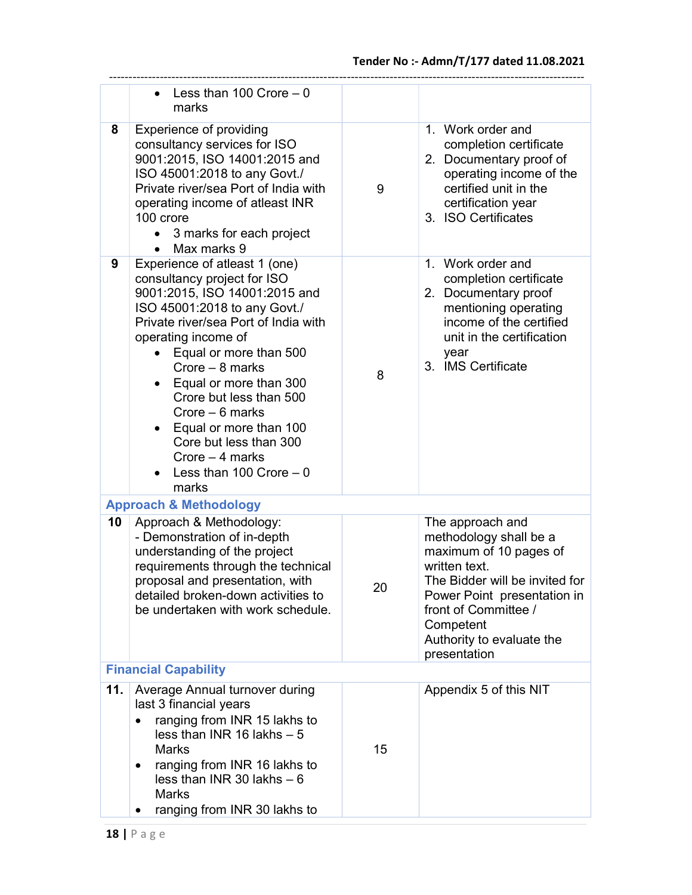|                             | Less than 100 Crore $-0$<br>marks                                                                                                                                                                                                                                                                                                                                                                                                                          |    |                                                                                                                                                                                                                                          |  |
|-----------------------------|------------------------------------------------------------------------------------------------------------------------------------------------------------------------------------------------------------------------------------------------------------------------------------------------------------------------------------------------------------------------------------------------------------------------------------------------------------|----|------------------------------------------------------------------------------------------------------------------------------------------------------------------------------------------------------------------------------------------|--|
| 8                           | <b>Experience of providing</b><br>consultancy services for ISO<br>9001:2015, ISO 14001:2015 and<br>ISO 45001:2018 to any Govt./<br>Private river/sea Port of India with<br>operating income of atleast INR<br>100 crore<br>• 3 marks for each project<br>Max marks 9<br>$\bullet$                                                                                                                                                                          | 9  | 1. Work order and<br>completion certificate<br>2. Documentary proof of<br>operating income of the<br>certified unit in the<br>certification year<br>3. ISO Certificates                                                                  |  |
| 9                           | Experience of atleast 1 (one)<br>consultancy project for ISO<br>9001:2015, ISO 14001:2015 and<br>ISO 45001:2018 to any Govt./<br>Private river/sea Port of India with<br>operating income of<br>Equal or more than 500<br>$\bullet$<br>Crore $-8$ marks<br>Equal or more than 300<br>Crore but less than 500<br>Crore $-6$ marks<br>Equal or more than 100<br>$\bullet$<br>Core but less than 300<br>Crore $-4$ marks<br>Less than 100 Crore $-0$<br>marks | 8  | 1. Work order and<br>completion certificate<br>2. Documentary proof<br>mentioning operating<br>income of the certified<br>unit in the certification<br>year<br>3. IMS Certificate                                                        |  |
|                             | <b>Approach &amp; Methodology</b>                                                                                                                                                                                                                                                                                                                                                                                                                          |    |                                                                                                                                                                                                                                          |  |
| 10                          | Approach & Methodology:<br>- Demonstration of in-depth<br>understanding of the project<br>requirements through the technical<br>proposal and presentation, with<br>detailed broken-down activities to<br>be undertaken with work schedule.                                                                                                                                                                                                                 | 20 | The approach and<br>methodology shall be a<br>maximum of 10 pages of<br>written text.<br>The Bidder will be invited for<br>Power Point presentation in<br>front of Committee /<br>Competent<br>Authority to evaluate the<br>presentation |  |
| <b>Financial Capability</b> |                                                                                                                                                                                                                                                                                                                                                                                                                                                            |    |                                                                                                                                                                                                                                          |  |
| 11.                         | Average Annual turnover during<br>last 3 financial years<br>ranging from INR 15 lakhs to<br>$\bullet$<br>less than INR 16 lakhs $-5$<br><b>Marks</b><br>ranging from INR 16 lakhs to<br>$\bullet$<br>less than INR 30 lakhs $-6$<br><b>Marks</b><br>ranging from INR 30 lakhs to                                                                                                                                                                           | 15 | Appendix 5 of this NIT                                                                                                                                                                                                                   |  |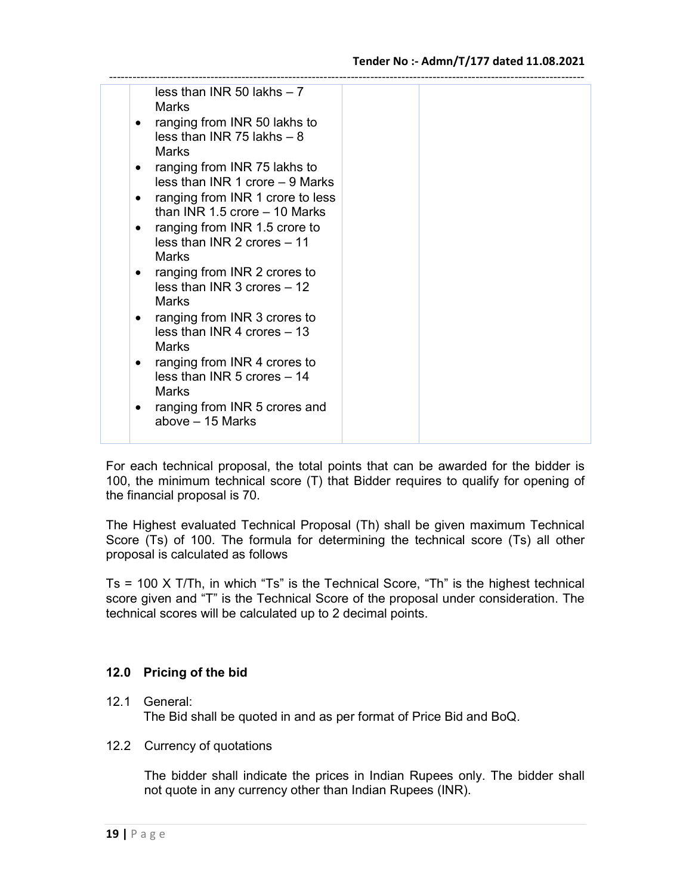| less than INR 50 lakhs $-7$<br><b>Marks</b><br>ranging from INR 50 lakhs to<br>$\bullet$<br>less than INR 75 lakhs $-8$<br>Marks<br>ranging from INR 75 lakhs to<br>$\bullet$<br>less than INR 1 crore $-9$ Marks<br>ranging from INR 1 crore to less<br>٠<br>than INR 1.5 crore $-$ 10 Marks<br>ranging from INR 1.5 crore to<br>٠<br>less than INR 2 crores $-11$<br>Marks<br>ranging from INR 2 crores to<br>$\bullet$<br>less than INR $3$ crores $-12$<br><b>Marks</b><br>ranging from INR 3 crores to<br>$\bullet$<br>less than INR 4 crores $-13$<br>Marks<br>ranging from INR 4 crores to<br>$\bullet$<br>less than INR 5 crores $-14$<br>Marks<br>$\bullet$ |  |
|----------------------------------------------------------------------------------------------------------------------------------------------------------------------------------------------------------------------------------------------------------------------------------------------------------------------------------------------------------------------------------------------------------------------------------------------------------------------------------------------------------------------------------------------------------------------------------------------------------------------------------------------------------------------|--|
| ranging from INR 5 crores and<br>above - 15 Marks                                                                                                                                                                                                                                                                                                                                                                                                                                                                                                                                                                                                                    |  |

For each technical proposal, the total points that can be awarded for the bidder is 100, the minimum technical score (T) that Bidder requires to qualify for opening of the financial proposal is 70.

The Highest evaluated Technical Proposal (Th) shall be given maximum Technical Score (Ts) of 100. The formula for determining the technical score (Ts) all other proposal is calculated as follows

Ts = 100 X T/Th, in which "Ts" is the Technical Score, "Th" is the highest technical score given and "T" is the Technical Score of the proposal under consideration. The technical scores will be calculated up to 2 decimal points.

# 12.0 Pricing of the bid

## 12.1 General:

The Bid shall be quoted in and as per format of Price Bid and BoQ.

12.2 Currency of quotations

The bidder shall indicate the prices in Indian Rupees only. The bidder shall not quote in any currency other than Indian Rupees (INR).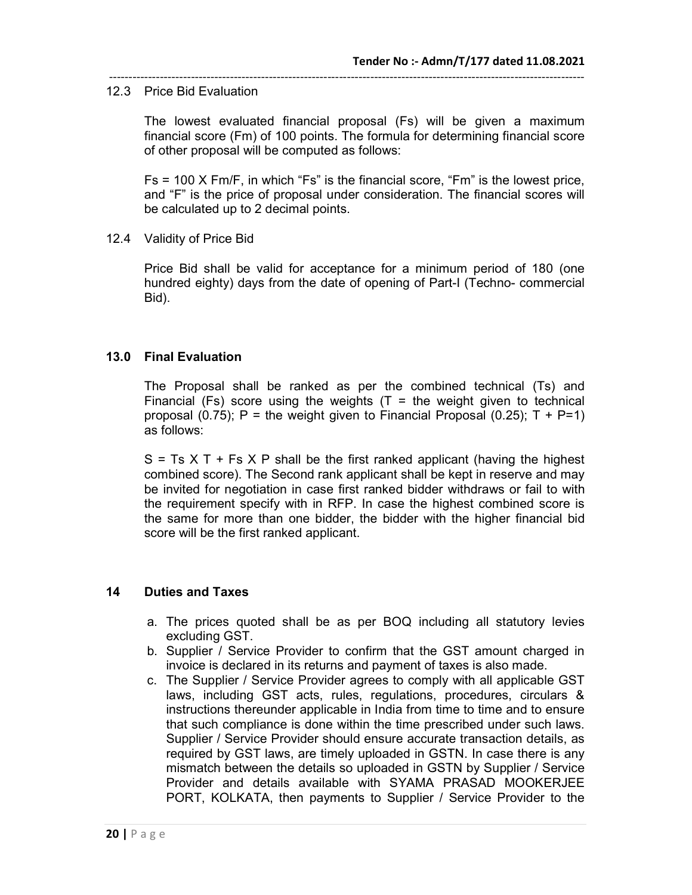#### 12.3 Price Bid Evaluation

The lowest evaluated financial proposal (Fs) will be given a maximum financial score (Fm) of 100 points. The formula for determining financial score of other proposal will be computed as follows:

--------------------------------------------------------------------------------------------------------------------------

Fs = 100 X Fm/F, in which "Fs" is the financial score, "Fm" is the lowest price, and "F" is the price of proposal under consideration. The financial scores will be calculated up to 2 decimal points.

12.4 Validity of Price Bid

Price Bid shall be valid for acceptance for a minimum period of 180 (one hundred eighty) days from the date of opening of Part-I (Techno- commercial Bid).

#### 13.0 Final Evaluation

The Proposal shall be ranked as per the combined technical (Ts) and Financial (Fs) score using the weights (T = the weight given to technical proposal (0.75); P = the weight given to Financial Proposal (0.25); T + P=1) as follows:

 $S = Ts X T + Fs X P$  shall be the first ranked applicant (having the highest combined score). The Second rank applicant shall be kept in reserve and may be invited for negotiation in case first ranked bidder withdraws or fail to with the requirement specify with in RFP. In case the highest combined score is the same for more than one bidder, the bidder with the higher financial bid score will be the first ranked applicant.

#### 14 Duties and Taxes

- a. The prices quoted shall be as per BOQ including all statutory levies excluding GST.
- b. Supplier / Service Provider to confirm that the GST amount charged in invoice is declared in its returns and payment of taxes is also made.
- c. The Supplier / Service Provider agrees to comply with all applicable GST laws, including GST acts, rules, regulations, procedures, circulars & instructions thereunder applicable in India from time to time and to ensure that such compliance is done within the time prescribed under such laws. Supplier / Service Provider should ensure accurate transaction details, as required by GST laws, are timely uploaded in GSTN. In case there is any mismatch between the details so uploaded in GSTN by Supplier / Service Provider and details available with SYAMA PRASAD MOOKERJEE PORT, KOLKATA, then payments to Supplier / Service Provider to the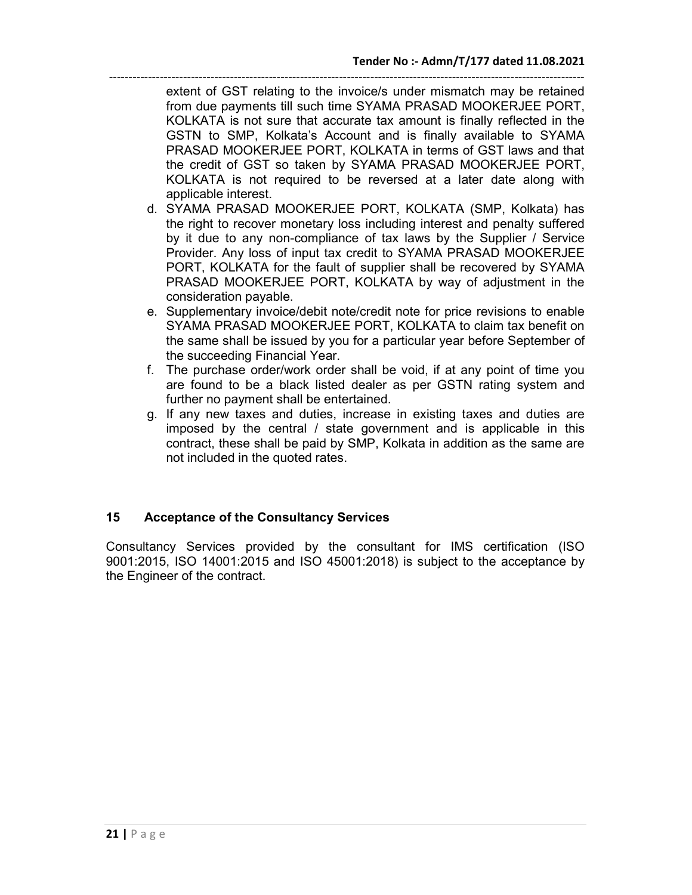------------------------------------------------------------------------------------------------------------------------- extent of GST relating to the invoice/s under mismatch may be retained from due payments till such time SYAMA PRASAD MOOKERJEE PORT, KOLKATA is not sure that accurate tax amount is finally reflected in the GSTN to SMP, Kolkata's Account and is finally available to SYAMA PRASAD MOOKERJEE PORT, KOLKATA in terms of GST laws and that the credit of GST so taken by SYAMA PRASAD MOOKERJEE PORT, KOLKATA is not required to be reversed at a later date along with applicable interest.

- d. SYAMA PRASAD MOOKERJEE PORT, KOLKATA (SMP, Kolkata) has the right to recover monetary loss including interest and penalty suffered by it due to any non-compliance of tax laws by the Supplier / Service Provider. Any loss of input tax credit to SYAMA PRASAD MOOKERJEE PORT, KOLKATA for the fault of supplier shall be recovered by SYAMA PRASAD MOOKERJEE PORT, KOLKATA by way of adjustment in the consideration payable.
- e. Supplementary invoice/debit note/credit note for price revisions to enable SYAMA PRASAD MOOKERJEE PORT, KOLKATA to claim tax benefit on the same shall be issued by you for a particular year before September of the succeeding Financial Year.
- f. The purchase order/work order shall be void, if at any point of time you are found to be a black listed dealer as per GSTN rating system and further no payment shall be entertained.
- g. If any new taxes and duties, increase in existing taxes and duties are imposed by the central / state government and is applicable in this contract, these shall be paid by SMP, Kolkata in addition as the same are not included in the quoted rates.

# 15 Acceptance of the Consultancy Services

Consultancy Services provided by the consultant for IMS certification (ISO 9001:2015, ISO 14001:2015 and ISO 45001:2018) is subject to the acceptance by the Engineer of the contract.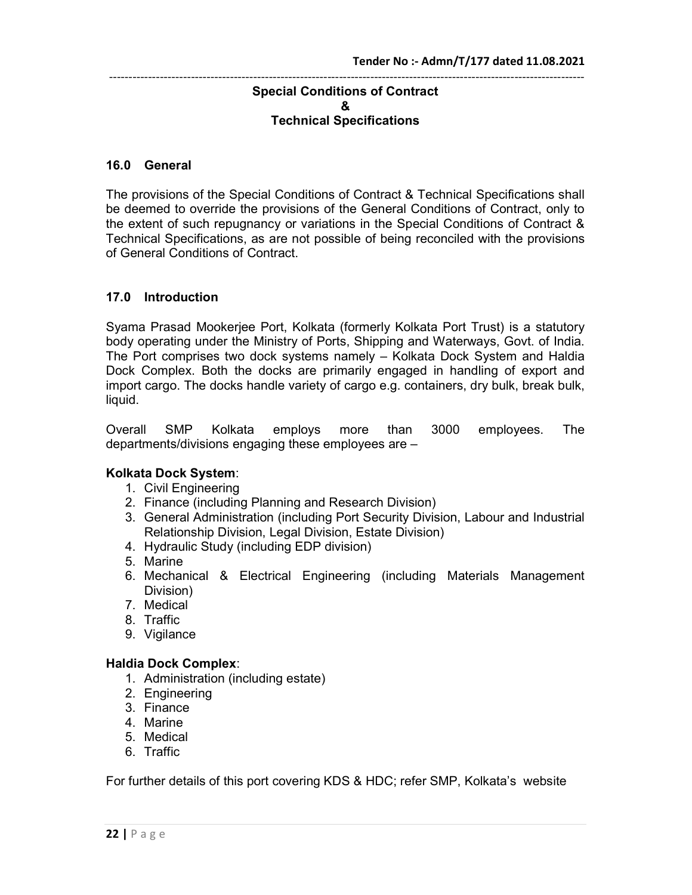#### -------------------------------------------------------------------------------------------------------------------------- Special Conditions of Contract & Technical Specifications

#### 16.0 General

The provisions of the Special Conditions of Contract & Technical Specifications shall be deemed to override the provisions of the General Conditions of Contract, only to the extent of such repugnancy or variations in the Special Conditions of Contract & Technical Specifications, as are not possible of being reconciled with the provisions of General Conditions of Contract.

## 17.0 Introduction

Syama Prasad Mookerjee Port, Kolkata (formerly Kolkata Port Trust) is a statutory body operating under the Ministry of Ports, Shipping and Waterways, Govt. of India. The Port comprises two dock systems namely – Kolkata Dock System and Haldia Dock Complex. Both the docks are primarily engaged in handling of export and import cargo. The docks handle variety of cargo e.g. containers, dry bulk, break bulk, liquid.

Overall SMP Kolkata employs more than 3000 employees. The departments/divisions engaging these employees are –

## Kolkata Dock System:

- 1. Civil Engineering
- 2. Finance (including Planning and Research Division)
- 3. General Administration (including Port Security Division, Labour and Industrial Relationship Division, Legal Division, Estate Division)
- 4. Hydraulic Study (including EDP division)
- 5. Marine
- 6. Mechanical & Electrical Engineering (including Materials Management Division)
- 7. Medical
- 8. Traffic
- 9. Vigilance

#### Haldia Dock Complex:

- 1. Administration (including estate)
- 2. Engineering
- 3. Finance
- 4. Marine
- 5. Medical
- 6. Traffic

For further details of this port covering KDS & HDC; refer SMP, Kolkata's website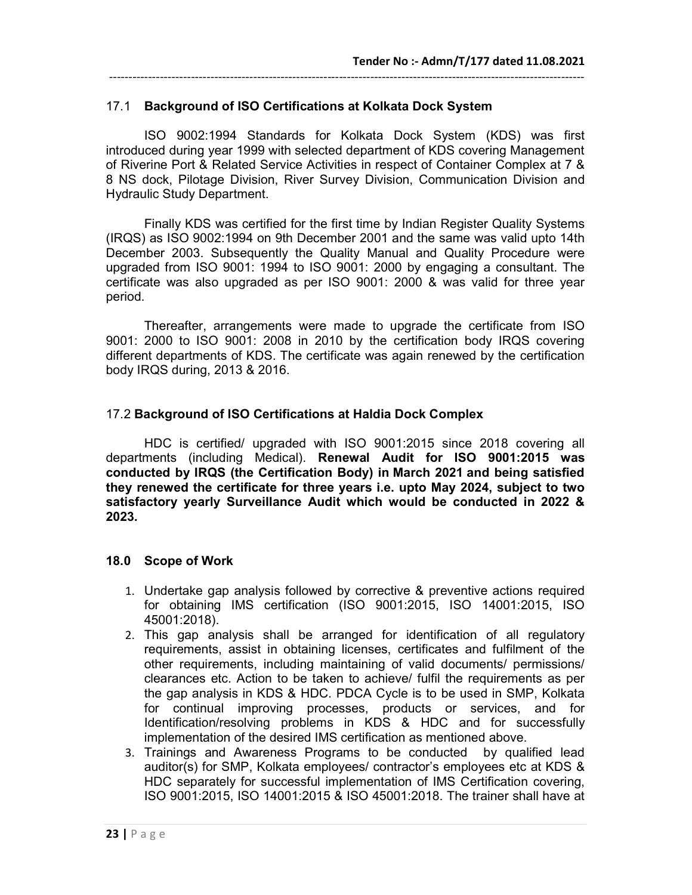# 17.1 Background of ISO Certifications at Kolkata Dock System

 ISO 9002:1994 Standards for Kolkata Dock System (KDS) was first introduced during year 1999 with selected department of KDS covering Management of Riverine Port & Related Service Activities in respect of Container Complex at 7 & 8 NS dock, Pilotage Division, River Survey Division, Communication Division and Hydraulic Study Department.

--------------------------------------------------------------------------------------------------------------------------

 Finally KDS was certified for the first time by Indian Register Quality Systems (IRQS) as ISO 9002:1994 on 9th December 2001 and the same was valid upto 14th December 2003. Subsequently the Quality Manual and Quality Procedure were upgraded from ISO 9001: 1994 to ISO 9001: 2000 by engaging a consultant. The certificate was also upgraded as per ISO 9001: 2000 & was valid for three year period.

 Thereafter, arrangements were made to upgrade the certificate from ISO 9001: 2000 to ISO 9001: 2008 in 2010 by the certification body IRQS covering different departments of KDS. The certificate was again renewed by the certification body IRQS during, 2013 & 2016.

# 17.2 Background of ISO Certifications at Haldia Dock Complex

HDC is certified/ upgraded with ISO 9001:2015 since 2018 covering all departments (including Medical). Renewal Audit for ISO 9001:2015 was conducted by IRQS (the Certification Body) in March 2021 and being satisfied they renewed the certificate for three years i.e. upto May 2024, subject to two satisfactory yearly Surveillance Audit which would be conducted in 2022 & 2023.

## 18.0 Scope of Work

- 1. Undertake gap analysis followed by corrective & preventive actions required for obtaining IMS certification (ISO 9001:2015, ISO 14001:2015, ISO 45001:2018).
- 2. This gap analysis shall be arranged for identification of all regulatory requirements, assist in obtaining licenses, certificates and fulfilment of the other requirements, including maintaining of valid documents/ permissions/ clearances etc. Action to be taken to achieve/ fulfil the requirements as per the gap analysis in KDS & HDC. PDCA Cycle is to be used in SMP, Kolkata for continual improving processes, products or services, and for Identification/resolving problems in KDS & HDC and for successfully implementation of the desired IMS certification as mentioned above.
- 3. Trainings and Awareness Programs to be conducted by qualified lead auditor(s) for SMP, Kolkata employees/ contractor's employees etc at KDS & HDC separately for successful implementation of IMS Certification covering, ISO 9001:2015, ISO 14001:2015 & ISO 45001:2018. The trainer shall have at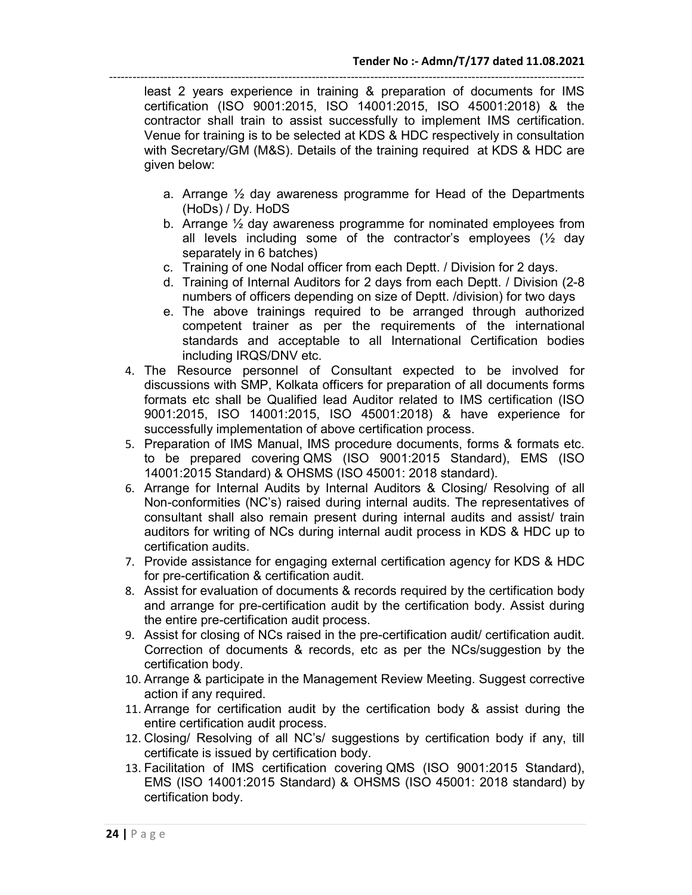------------------------------------------------------------------------------------------------------------------------- least 2 years experience in training & preparation of documents for IMS certification (ISO 9001:2015, ISO 14001:2015, ISO 45001:2018) & the contractor shall train to assist successfully to implement IMS certification. Venue for training is to be selected at KDS & HDC respectively in consultation with Secretary/GM (M&S). Details of the training required at KDS & HDC are given below:

- a. Arrange ½ day awareness programme for Head of the Departments (HoDs) / Dy. HoDS
- b. Arrange ½ day awareness programme for nominated employees from all levels including some of the contractor's employees (½ day separately in 6 batches)
- c. Training of one Nodal officer from each Deptt. / Division for 2 days.
- d. Training of Internal Auditors for 2 days from each Deptt. / Division (2-8 numbers of officers depending on size of Deptt. /division) for two days
- e. The above trainings required to be arranged through authorized competent trainer as per the requirements of the international standards and acceptable to all International Certification bodies including IRQS/DNV etc.
- 4. The Resource personnel of Consultant expected to be involved for discussions with SMP, Kolkata officers for preparation of all documents forms formats etc shall be Qualified lead Auditor related to IMS certification (ISO 9001:2015, ISO 14001:2015, ISO 45001:2018) & have experience for successfully implementation of above certification process.
- 5. Preparation of IMS Manual, IMS procedure documents, forms & formats etc. to be prepared covering QMS (ISO 9001:2015 Standard), EMS (ISO 14001:2015 Standard) & OHSMS (ISO 45001: 2018 standard).
- 6. Arrange for Internal Audits by Internal Auditors & Closing/ Resolving of all Non-conformities (NC's) raised during internal audits. The representatives of consultant shall also remain present during internal audits and assist/ train auditors for writing of NCs during internal audit process in KDS & HDC up to certification audits.
- 7. Provide assistance for engaging external certification agency for KDS & HDC for pre-certification & certification audit.
- 8. Assist for evaluation of documents & records required by the certification body and arrange for pre-certification audit by the certification body. Assist during the entire pre-certification audit process.
- 9. Assist for closing of NCs raised in the pre-certification audit/ certification audit. Correction of documents & records, etc as per the NCs/suggestion by the certification body.
- 10. Arrange & participate in the Management Review Meeting. Suggest corrective action if any required.
- 11. Arrange for certification audit by the certification body & assist during the entire certification audit process.
- 12. Closing/ Resolving of all NC's/ suggestions by certification body if any, till certificate is issued by certification body.
- 13. Facilitation of IMS certification covering QMS (ISO 9001:2015 Standard), EMS (ISO 14001:2015 Standard) & OHSMS (ISO 45001: 2018 standard) by certification body.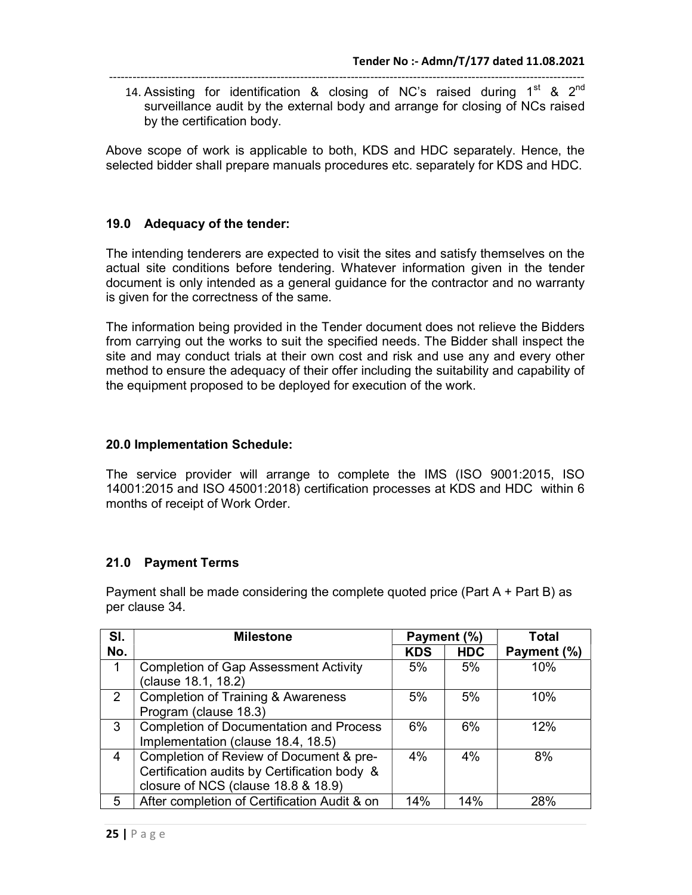14. Assisting for identification & closing of NC's raised during  $1^{st}$  &  $2^{nd}$ surveillance audit by the external body and arrange for closing of NCs raised by the certification body.

Above scope of work is applicable to both, KDS and HDC separately. Hence, the selected bidder shall prepare manuals procedures etc. separately for KDS and HDC.

#### 19.0 Adequacy of the tender:

The intending tenderers are expected to visit the sites and satisfy themselves on the actual site conditions before tendering. Whatever information given in the tender document is only intended as a general guidance for the contractor and no warranty is given for the correctness of the same.

The information being provided in the Tender document does not relieve the Bidders from carrying out the works to suit the specified needs. The Bidder shall inspect the site and may conduct trials at their own cost and risk and use any and every other method to ensure the adequacy of their offer including the suitability and capability of the equipment proposed to be deployed for execution of the work.

#### 20.0 Implementation Schedule:

The service provider will arrange to complete the IMS (ISO 9001:2015, ISO 14001:2015 and ISO 45001:2018) certification processes at KDS and HDC within 6 months of receipt of Work Order.

## 21.0 Payment Terms

Payment shall be made considering the complete quoted price (Part A + Part B) as per clause 34.

| SI. | <b>Milestone</b>                               | Payment (%) |            | <b>Total</b> |
|-----|------------------------------------------------|-------------|------------|--------------|
| No. |                                                | <b>KDS</b>  | <b>HDC</b> | Payment (%)  |
| 1   | <b>Completion of Gap Assessment Activity</b>   | 5%          | 5%         | 10%          |
|     | clause 18.1, 18.2)                             |             |            |              |
| 2   | <b>Completion of Training &amp; Awareness</b>  | 5%          | 5%         | 10%          |
|     | Program (clause 18.3)                          |             |            |              |
| 3   | <b>Completion of Documentation and Process</b> | 6%          | 6%         | 12%          |
|     | Implementation (clause 18.4, 18.5)             |             |            |              |
| 4   | Completion of Review of Document & pre-        | 4%          | 4%         | 8%           |
|     | Certification audits by Certification body &   |             |            |              |
|     | closure of NCS (clause 18.8 & 18.9)            |             |            |              |
| 5   | After completion of Certification Audit & on   | 14%         | 14%        | 28%          |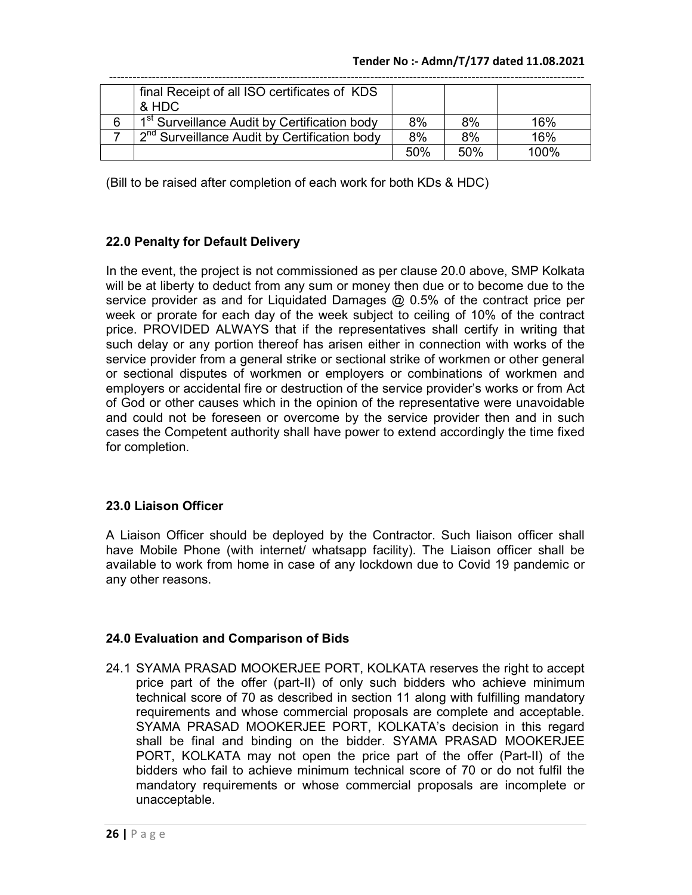| final Receipt of all ISO certificates of KDS             |     |     |         |
|----------------------------------------------------------|-----|-----|---------|
| & HDC                                                    |     |     |         |
| 1 <sup>st</sup> Surveillance Audit by Certification body | 8%  | 8%  | 16%     |
| 2 <sup>nd</sup> Surveillance Audit by Certification body | 8%  | 8%  | 16%     |
|                                                          | 50% | 50% | $100\%$ |

(Bill to be raised after completion of each work for both KDs & HDC)

# 22.0 Penalty for Default Delivery

In the event, the project is not commissioned as per clause 20.0 above, SMP Kolkata will be at liberty to deduct from any sum or money then due or to become due to the service provider as and for Liquidated Damages @ 0.5% of the contract price per week or prorate for each day of the week subject to ceiling of 10% of the contract price. PROVIDED ALWAYS that if the representatives shall certify in writing that such delay or any portion thereof has arisen either in connection with works of the service provider from a general strike or sectional strike of workmen or other general or sectional disputes of workmen or employers or combinations of workmen and employers or accidental fire or destruction of the service provider's works or from Act of God or other causes which in the opinion of the representative were unavoidable and could not be foreseen or overcome by the service provider then and in such cases the Competent authority shall have power to extend accordingly the time fixed for completion.

# 23.0 Liaison Officer

A Liaison Officer should be deployed by the Contractor. Such liaison officer shall have Mobile Phone (with internet/ whatsapp facility). The Liaison officer shall be available to work from home in case of any lockdown due to Covid 19 pandemic or any other reasons.

## 24.0 Evaluation and Comparison of Bids

24.1 SYAMA PRASAD MOOKERJEE PORT, KOLKATA reserves the right to accept price part of the offer (part-II) of only such bidders who achieve minimum technical score of 70 as described in section 11 along with fulfilling mandatory requirements and whose commercial proposals are complete and acceptable. SYAMA PRASAD MOOKERJEE PORT, KOLKATA's decision in this regard shall be final and binding on the bidder. SYAMA PRASAD MOOKERJEE PORT, KOLKATA may not open the price part of the offer (Part-II) of the bidders who fail to achieve minimum technical score of 70 or do not fulfil the mandatory requirements or whose commercial proposals are incomplete or unacceptable.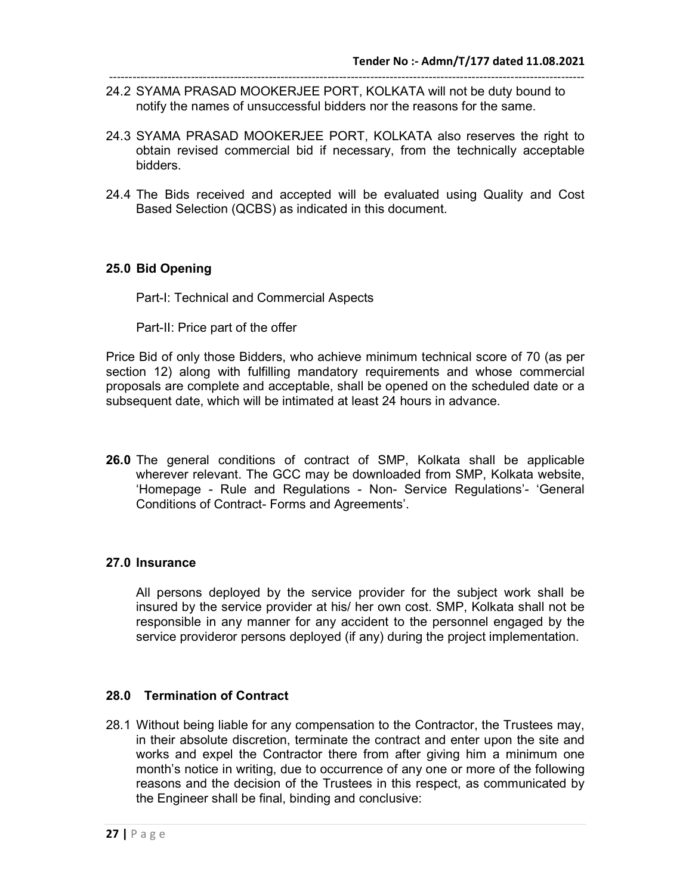- -------------------------------------------------------------------------------------------------------------------------- 24.2 SYAMA PRASAD MOOKERJEE PORT, KOLKATA will not be duty bound to notify the names of unsuccessful bidders nor the reasons for the same.
- 24.3 SYAMA PRASAD MOOKERJEE PORT, KOLKATA also reserves the right to obtain revised commercial bid if necessary, from the technically acceptable bidders.
- 24.4 The Bids received and accepted will be evaluated using Quality and Cost Based Selection (QCBS) as indicated in this document.

## 25.0 Bid Opening

Part-I: Technical and Commercial Aspects

Part-II: Price part of the offer

Price Bid of only those Bidders, who achieve minimum technical score of 70 (as per section 12) along with fulfilling mandatory requirements and whose commercial proposals are complete and acceptable, shall be opened on the scheduled date or a subsequent date, which will be intimated at least 24 hours in advance.

26.0 The general conditions of contract of SMP, Kolkata shall be applicable wherever relevant. The GCC may be downloaded from SMP, Kolkata website, 'Homepage - Rule and Regulations - Non- Service Regulations'- 'General Conditions of Contract- Forms and Agreements'.

## 27.0 Insurance

All persons deployed by the service provider for the subject work shall be insured by the service provider at his/ her own cost. SMP, Kolkata shall not be responsible in any manner for any accident to the personnel engaged by the service provideror persons deployed (if any) during the project implementation.

## 28.0 Termination of Contract

28.1 Without being liable for any compensation to the Contractor, the Trustees may, in their absolute discretion, terminate the contract and enter upon the site and works and expel the Contractor there from after giving him a minimum one month's notice in writing, due to occurrence of any one or more of the following reasons and the decision of the Trustees in this respect, as communicated by the Engineer shall be final, binding and conclusive: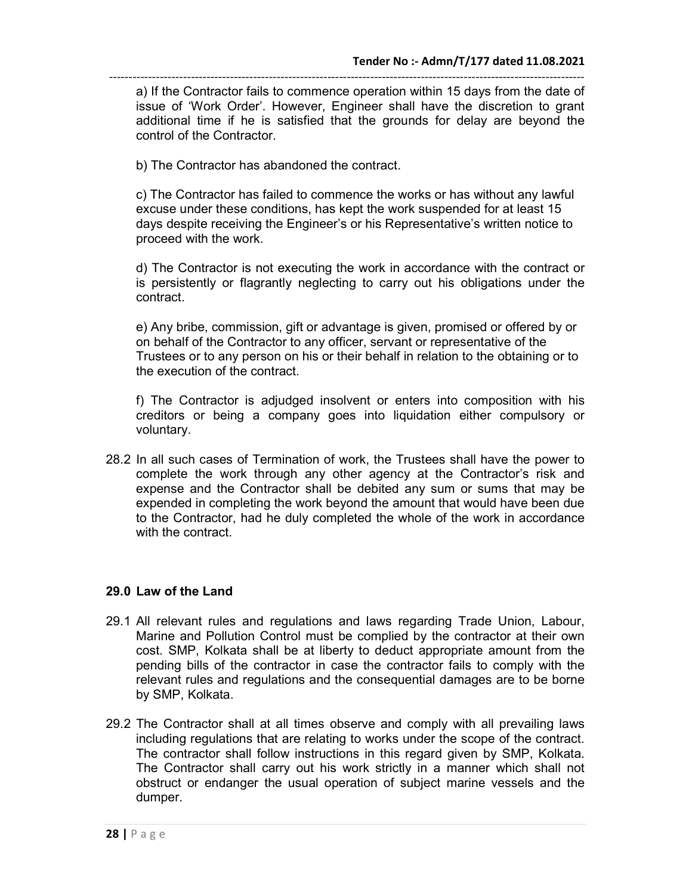------------------------------------------------------------------------------------------------------------------------- a) If the Contractor fails to commence operation within 15 days from the date of issue of 'Work Order'. However, Engineer shall have the discretion to grant additional time if he is satisfied that the grounds for delay are beyond the control of the Contractor.

b) The Contractor has abandoned the contract.

c) The Contractor has failed to commence the works or has without any lawful excuse under these conditions, has kept the work suspended for at least 15 days despite receiving the Engineer's or his Representative's written notice to proceed with the work.

d) The Contractor is not executing the work in accordance with the contract or is persistently or flagrantly neglecting to carry out his obligations under the contract.

e) Any bribe, commission, gift or advantage is given, promised or offered by or on behalf of the Contractor to any officer, servant or representative of the Trustees or to any person on his or their behalf in relation to the obtaining or to the execution of the contract.

f) The Contractor is adjudged insolvent or enters into composition with his creditors or being a company goes into liquidation either compulsory or voluntary.

28.2 In all such cases of Termination of work, the Trustees shall have the power to complete the work through any other agency at the Contractor's risk and expense and the Contractor shall be debited any sum or sums that may be expended in completing the work beyond the amount that would have been due to the Contractor, had he duly completed the whole of the work in accordance with the contract.

#### 29.0 Law of the Land

- 29.1 All relevant rules and regulations and laws regarding Trade Union, Labour, Marine and Pollution Control must be complied by the contractor at their own cost. SMP, Kolkata shall be at liberty to deduct appropriate amount from the pending bills of the contractor in case the contractor fails to comply with the relevant rules and regulations and the consequential damages are to be borne by SMP, Kolkata.
- 29.2 The Contractor shall at all times observe and comply with all prevailing laws including regulations that are relating to works under the scope of the contract. The contractor shall follow instructions in this regard given by SMP, Kolkata. The Contractor shall carry out his work strictly in a manner which shall not obstruct or endanger the usual operation of subject marine vessels and the dumper.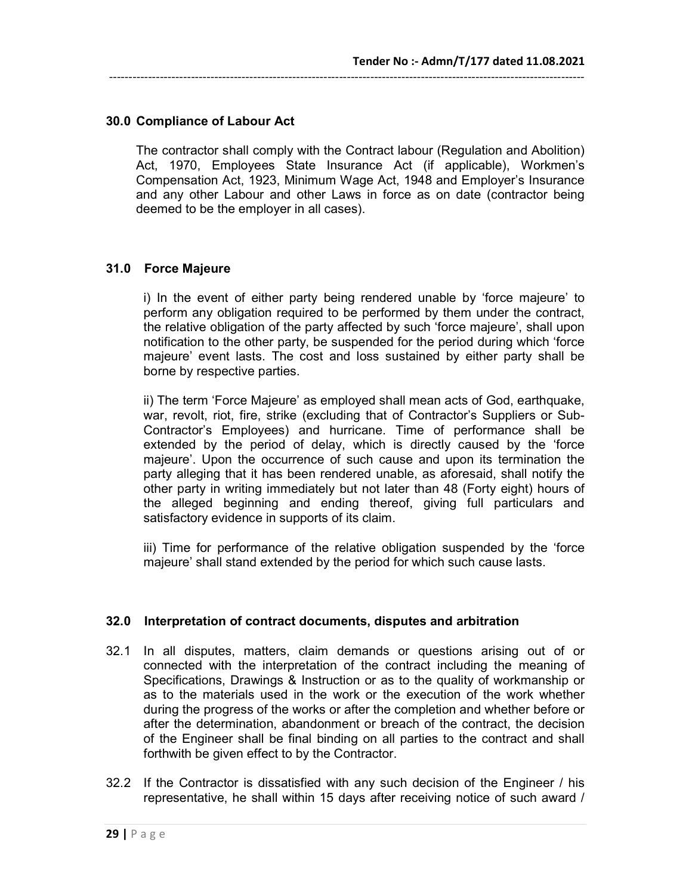# 30.0 Compliance of Labour Act

The contractor shall comply with the Contract labour (Regulation and Abolition) Act, 1970, Employees State Insurance Act (if applicable), Workmen's Compensation Act, 1923, Minimum Wage Act, 1948 and Employer's Insurance and any other Labour and other Laws in force as on date (contractor being deemed to be the employer in all cases).

--------------------------------------------------------------------------------------------------------------------------

## 31.0 Force Majeure

i) In the event of either party being rendered unable by 'force majeure' to perform any obligation required to be performed by them under the contract, the relative obligation of the party affected by such 'force majeure', shall upon notification to the other party, be suspended for the period during which 'force majeure' event lasts. The cost and loss sustained by either party shall be borne by respective parties.

ii) The term 'Force Majeure' as employed shall mean acts of God, earthquake, war, revolt, riot, fire, strike (excluding that of Contractor's Suppliers or Sub-Contractor's Employees) and hurricane. Time of performance shall be extended by the period of delay, which is directly caused by the 'force majeure'. Upon the occurrence of such cause and upon its termination the party alleging that it has been rendered unable, as aforesaid, shall notify the other party in writing immediately but not later than 48 (Forty eight) hours of the alleged beginning and ending thereof, giving full particulars and satisfactory evidence in supports of its claim.

iii) Time for performance of the relative obligation suspended by the 'force majeure' shall stand extended by the period for which such cause lasts.

## 32.0 Interpretation of contract documents, disputes and arbitration

- 32.1 In all disputes, matters, claim demands or questions arising out of or connected with the interpretation of the contract including the meaning of Specifications, Drawings & Instruction or as to the quality of workmanship or as to the materials used in the work or the execution of the work whether during the progress of the works or after the completion and whether before or after the determination, abandonment or breach of the contract, the decision of the Engineer shall be final binding on all parties to the contract and shall forthwith be given effect to by the Contractor.
- 32.2 If the Contractor is dissatisfied with any such decision of the Engineer / his representative, he shall within 15 days after receiving notice of such award /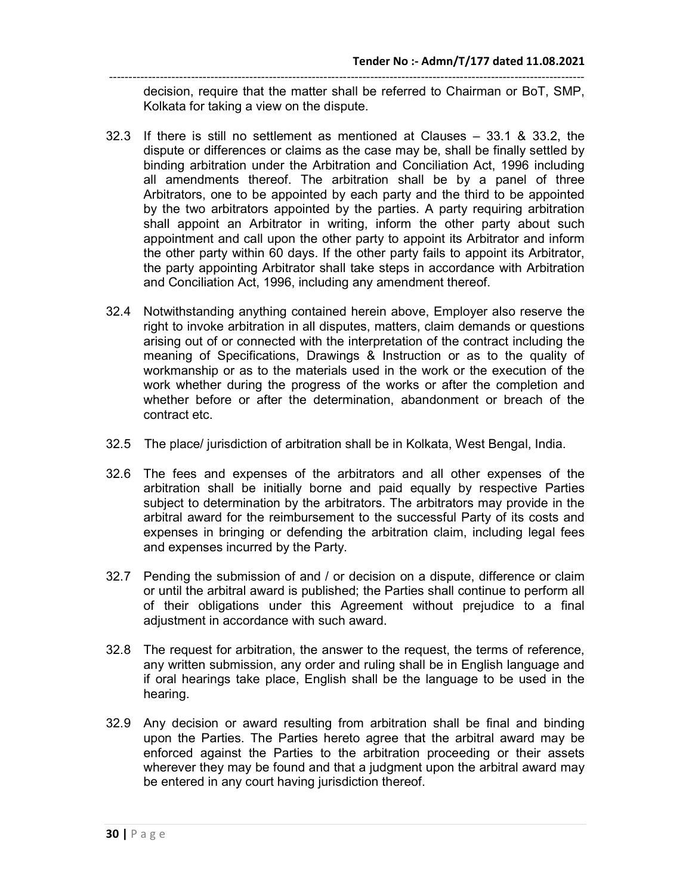------------------------------------------------------------------------------------------------------------------------- decision, require that the matter shall be referred to Chairman or BoT, SMP, Kolkata for taking a view on the dispute.

- 32.3 If there is still no settlement as mentioned at Clauses 33.1 & 33.2, the dispute or differences or claims as the case may be, shall be finally settled by binding arbitration under the Arbitration and Conciliation Act, 1996 including all amendments thereof. The arbitration shall be by a panel of three Arbitrators, one to be appointed by each party and the third to be appointed by the two arbitrators appointed by the parties. A party requiring arbitration shall appoint an Arbitrator in writing, inform the other party about such appointment and call upon the other party to appoint its Arbitrator and inform the other party within 60 days. If the other party fails to appoint its Arbitrator, the party appointing Arbitrator shall take steps in accordance with Arbitration and Conciliation Act, 1996, including any amendment thereof.
- 32.4 Notwithstanding anything contained herein above, Employer also reserve the right to invoke arbitration in all disputes, matters, claim demands or questions arising out of or connected with the interpretation of the contract including the meaning of Specifications, Drawings & Instruction or as to the quality of workmanship or as to the materials used in the work or the execution of the work whether during the progress of the works or after the completion and whether before or after the determination, abandonment or breach of the contract etc.
- 32.5 The place/ jurisdiction of arbitration shall be in Kolkata, West Bengal, India.
- 32.6 The fees and expenses of the arbitrators and all other expenses of the arbitration shall be initially borne and paid equally by respective Parties subject to determination by the arbitrators. The arbitrators may provide in the arbitral award for the reimbursement to the successful Party of its costs and expenses in bringing or defending the arbitration claim, including legal fees and expenses incurred by the Party.
- 32.7 Pending the submission of and / or decision on a dispute, difference or claim or until the arbitral award is published; the Parties shall continue to perform all of their obligations under this Agreement without prejudice to a final adjustment in accordance with such award.
- 32.8 The request for arbitration, the answer to the request, the terms of reference, any written submission, any order and ruling shall be in English language and if oral hearings take place, English shall be the language to be used in the hearing.
- 32.9 Any decision or award resulting from arbitration shall be final and binding upon the Parties. The Parties hereto agree that the arbitral award may be enforced against the Parties to the arbitration proceeding or their assets wherever they may be found and that a judgment upon the arbitral award may be entered in any court having jurisdiction thereof.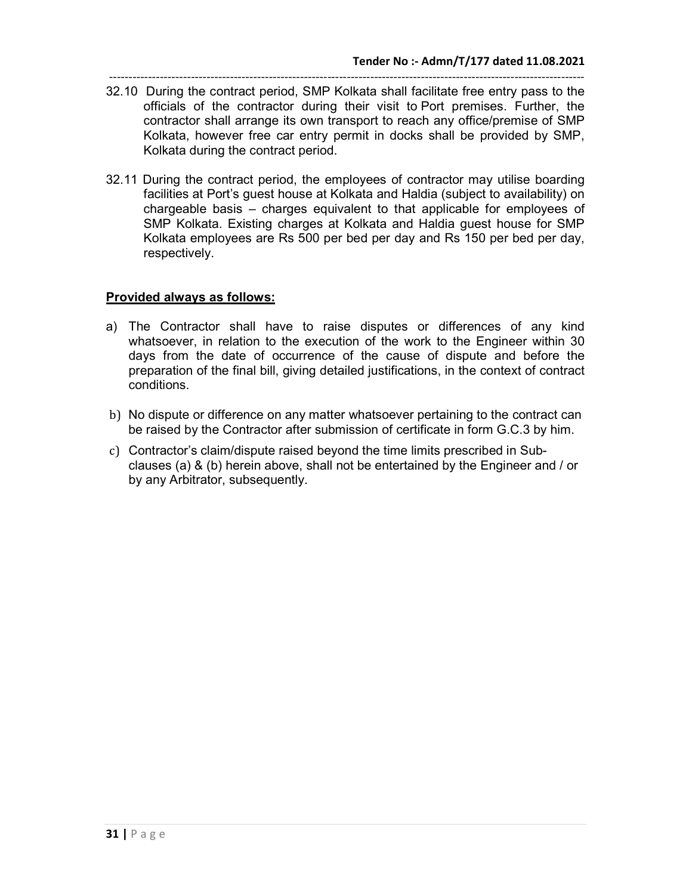- -------------------------------------------------------------------------------------------------------------------------- 32.10 During the contract period, SMP Kolkata shall facilitate free entry pass to the officials of the contractor during their visit to Port premises. Further, the contractor shall arrange its own transport to reach any office/premise of SMP Kolkata, however free car entry permit in docks shall be provided by SMP, Kolkata during the contract period.
- 32.11 During the contract period, the employees of contractor may utilise boarding facilities at Port's guest house at Kolkata and Haldia (subject to availability) on chargeable basis – charges equivalent to that applicable for employees of SMP Kolkata. Existing charges at Kolkata and Haldia guest house for SMP Kolkata employees are Rs 500 per bed per day and Rs 150 per bed per day, respectively.

#### Provided always as follows:

- a) The Contractor shall have to raise disputes or differences of any kind whatsoever, in relation to the execution of the work to the Engineer within 30 days from the date of occurrence of the cause of dispute and before the preparation of the final bill, giving detailed justifications, in the context of contract conditions.
- b) No dispute or difference on any matter whatsoever pertaining to the contract can be raised by the Contractor after submission of certificate in form G.C.3 by him.
- c) Contractor's claim/dispute raised beyond the time limits prescribed in Subclauses (a) & (b) herein above, shall not be entertained by the Engineer and / or by any Arbitrator, subsequently.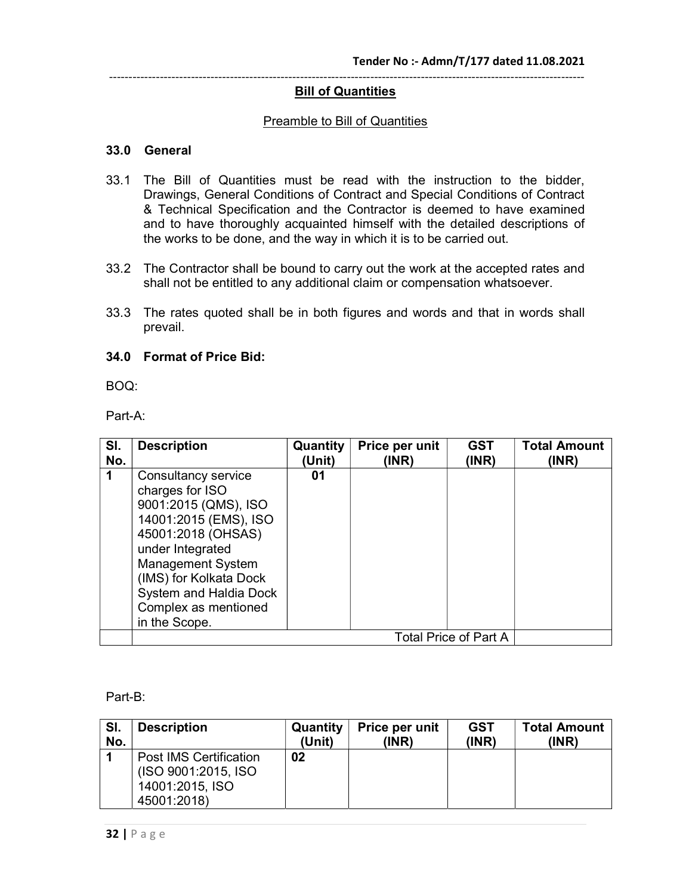#### **Bill of Quantities**

#### Preamble to Bill of Quantities

#### 33.0 General

- 33.1 The Bill of Quantities must be read with the instruction to the bidder, Drawings, General Conditions of Contract and Special Conditions of Contract & Technical Specification and the Contractor is deemed to have examined and to have thoroughly acquainted himself with the detailed descriptions of the works to be done, and the way in which it is to be carried out.
- 33.2 The Contractor shall be bound to carry out the work at the accepted rates and shall not be entitled to any additional claim or compensation whatsoever.
- 33.3 The rates quoted shall be in both figures and words and that in words shall prevail.

#### 34.0 Format of Price Bid:

BOQ:

Part-A:

| SI. | <b>Description</b>                                                                                                                                                                                                                                         | Quantity | Price per unit | <b>GST</b>                   | <b>Total Amount</b> |
|-----|------------------------------------------------------------------------------------------------------------------------------------------------------------------------------------------------------------------------------------------------------------|----------|----------------|------------------------------|---------------------|
| No. |                                                                                                                                                                                                                                                            | (Unit)   | (INR)          | (INR)                        | (INR)               |
|     | Consultancy service<br>charges for ISO<br>9001:2015 (QMS), ISO<br>14001:2015 (EMS), ISO<br>45001:2018 (OHSAS)<br>under Integrated<br><b>Management System</b><br>(IMS) for Kolkata Dock<br>System and Haldia Dock<br>Complex as mentioned<br>in the Scope. | 01       |                |                              |                     |
|     |                                                                                                                                                                                                                                                            |          |                | <b>Total Price of Part A</b> |                     |

Part-B:

| SI. | <b>Description</b>                                                                     | <b>Quantity</b> | Price per unit | <b>GST</b> | <b>Total Amount</b> |
|-----|----------------------------------------------------------------------------------------|-----------------|----------------|------------|---------------------|
| No. |                                                                                        | (Unit)          | (INR)          | (INR)      | (INR)               |
|     | <b>Post IMS Certification</b><br>(ISO 9001:2015, ISO<br>14001:2015, ISO<br>45001:2018) | 02              |                |            |                     |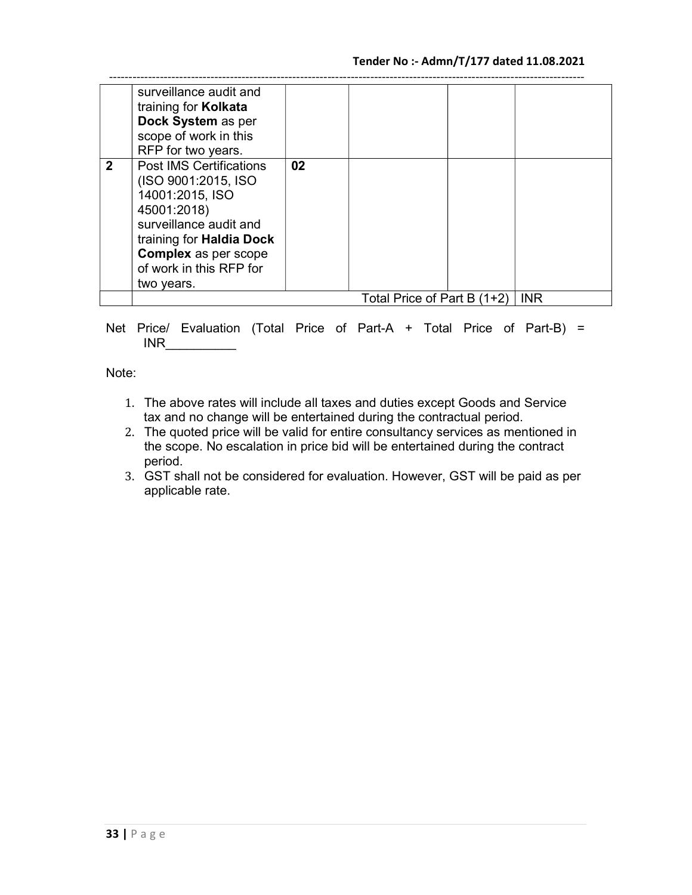|              | surveillance audit and<br>training for <b>Kolkata</b><br>Dock System as per<br>scope of work in this<br>RFP for two years.                                                                                                   |    |                               |            |
|--------------|------------------------------------------------------------------------------------------------------------------------------------------------------------------------------------------------------------------------------|----|-------------------------------|------------|
| $\mathbf{2}$ | <b>Post IMS Certifications</b><br>(ISO 9001:2015, ISO<br>14001:2015, ISO<br>45001:2018)<br>surveillance audit and<br>training for <b>Haldia Dock</b><br><b>Complex as per scope</b><br>of work in this RFP for<br>two years. | 02 |                               |            |
|              |                                                                                                                                                                                                                              |    | Total Price of Part B $(1+2)$ | <b>INR</b> |

Net Price/ Evaluation (Total Price of Part-A + Total Price of Part-B) =  $INR$ 

Note:

- 1. The above rates will include all taxes and duties except Goods and Service tax and no change will be entertained during the contractual period.
- 2. The quoted price will be valid for entire consultancy services as mentioned in the scope. No escalation in price bid will be entertained during the contract period.
- 3. GST shall not be considered for evaluation. However, GST will be paid as per applicable rate.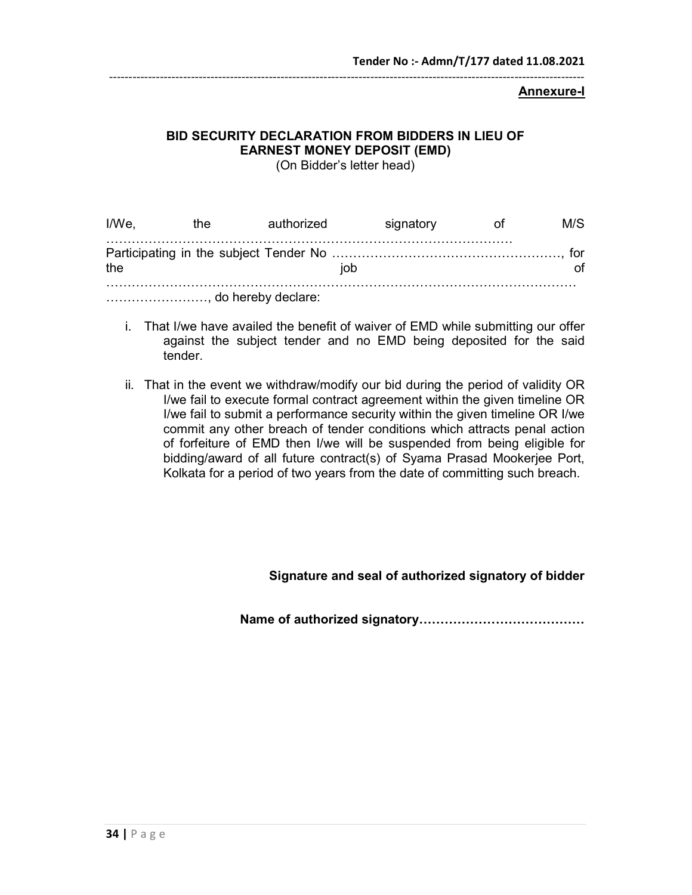#### Annexure-I

# BID SECURITY DECLARATION FROM BIDDERS IN LIEU OF EARNEST MONEY DEPOSIT (EMD)

(On Bidder's letter head)

| I/We. | the | authorized           | signatory | M/S |
|-------|-----|----------------------|-----------|-----|
| the   |     | iob                  |           |     |
|       |     | , do hereby declare: |           |     |

- i. That I/we have availed the benefit of waiver of EMD while submitting our offer against the subject tender and no EMD being deposited for the said tender.
- ii. That in the event we withdraw/modify our bid during the period of validity OR I/we fail to execute formal contract agreement within the given timeline OR I/we fail to submit a performance security within the given timeline OR I/we commit any other breach of tender conditions which attracts penal action of forfeiture of EMD then I/we will be suspended from being eligible for bidding/award of all future contract(s) of Syama Prasad Mookerjee Port, Kolkata for a period of two years from the date of committing such breach.

## Signature and seal of authorized signatory of bidder

Name of authorized signatory…………………………………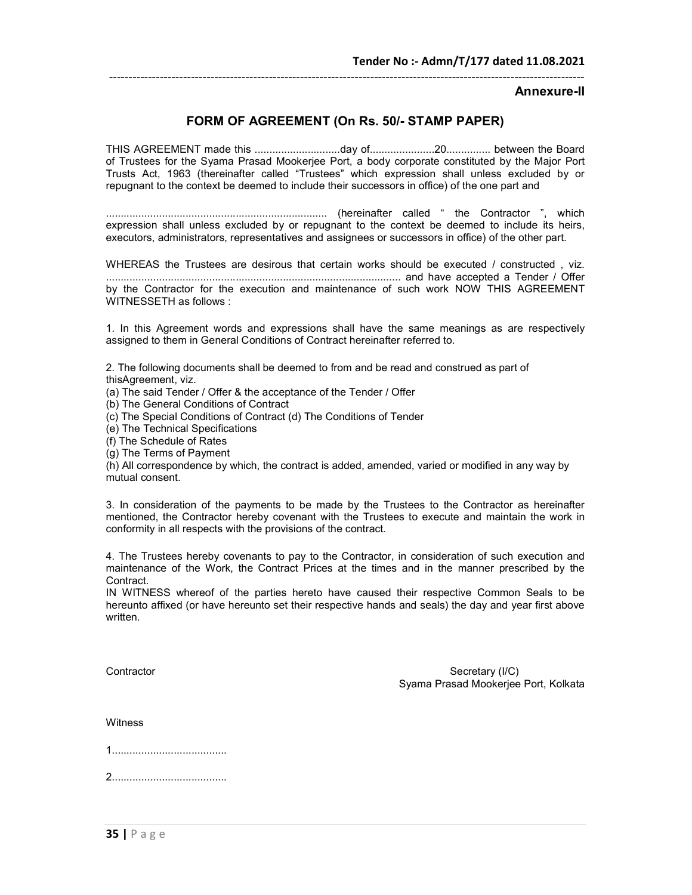Annexure-II

## FORM OF AGREEMENT (On Rs. 50/- STAMP PAPER)

THIS AGREEMENT made this .............................day of......................20............... between the Board of Trustees for the Syama Prasad Mookerjee Port, a body corporate constituted by the Major Port Trusts Act, 1963 (thereinafter called "Trustees" which expression shall unless excluded by or repugnant to the context be deemed to include their successors in office) of the one part and

........................................................................... (hereinafter called " the Contractor ", which expression shall unless excluded by or repugnant to the context be deemed to include its heirs, executors, administrators, representatives and assignees or successors in office) of the other part.

WHEREAS the Trustees are desirous that certain works should be executed / constructed, viz. .................................................................................................... and have accepted a Tender / Offer by the Contractor for the execution and maintenance of such work NOW THIS AGREEMENT WITNESSETH as follows :

1. In this Agreement words and expressions shall have the same meanings as are respectively assigned to them in General Conditions of Contract hereinafter referred to.

2. The following documents shall be deemed to from and be read and construed as part of thisAgreement, viz.

(a) The said Tender / Offer & the acceptance of the Tender / Offer

(b) The General Conditions of Contract

(c) The Special Conditions of Contract (d) The Conditions of Tender

(e) The Technical Specifications

(f) The Schedule of Rates

(g) The Terms of Payment

(h) All correspondence by which, the contract is added, amended, varied or modified in any way by mutual consent.

3. In consideration of the payments to be made by the Trustees to the Contractor as hereinafter mentioned, the Contractor hereby covenant with the Trustees to execute and maintain the work in conformity in all respects with the provisions of the contract.

4. The Trustees hereby covenants to pay to the Contractor, in consideration of such execution and maintenance of the Work, the Contract Prices at the times and in the manner prescribed by the Contract.

IN WITNESS whereof of the parties hereto have caused their respective Common Seals to be hereunto affixed (or have hereunto set their respective hands and seals) the day and year first above written.

Contractor Secretary (I/C) Syama Prasad Mookerjee Port, Kolkata

**Witness** 

1.......................................

2.......................................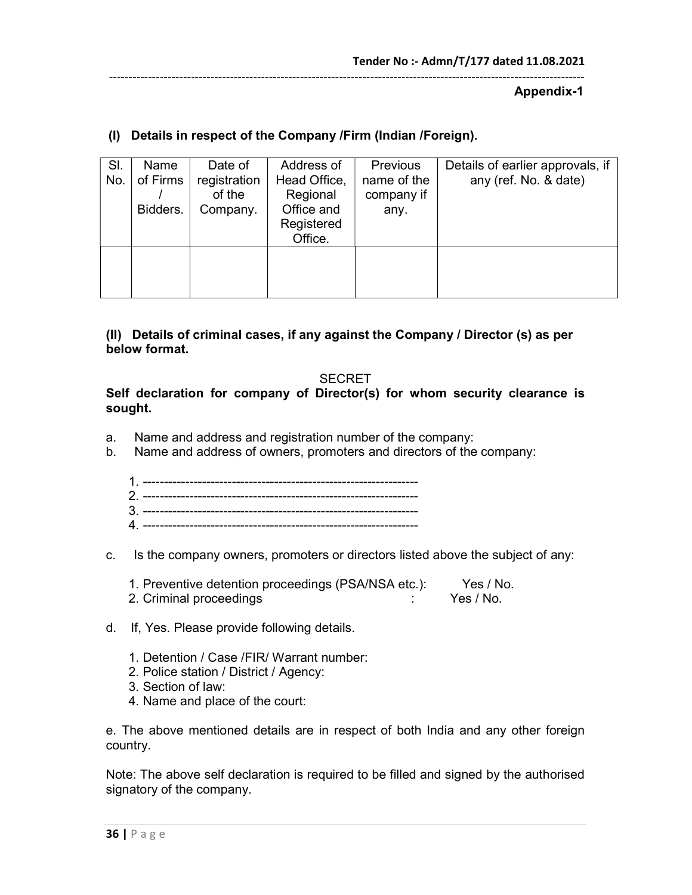#### Appendix-1

# (I) Details in respect of the Company /Firm (Indian /Foreign).

| SI.<br>No. | Name<br>of Firms<br>Bidders. | Date of<br>registration<br>of the<br>Company. | Address of<br>Head Office,<br>Regional<br>Office and<br>Registered<br>Office. | Previous<br>name of the<br>company if<br>any. | Details of earlier approvals, if<br>any (ref. No. & date) |
|------------|------------------------------|-----------------------------------------------|-------------------------------------------------------------------------------|-----------------------------------------------|-----------------------------------------------------------|
|            |                              |                                               |                                                                               |                                               |                                                           |

## (II) Details of criminal cases, if any against the Company / Director (s) as per below format.

#### **SECRET**

Self declaration for company of Director(s) for whom security clearance is sought.

- a. Name and address and registration number of the company:
- b. Name and address of owners, promoters and directors of the company:

| r |  |
|---|--|
|   |  |
|   |  |

c. Is the company owners, promoters or directors listed above the subject of any:

| 1. Preventive detention proceedings (PSA/NSA etc.): | Yes / No. |
|-----------------------------------------------------|-----------|
| 2. Criminal proceedings                             | Yes / No. |

- d. If, Yes. Please provide following details.
	- 1. Detention / Case /FIR/ Warrant number:
	- 2. Police station / District / Agency:
	- 3. Section of law:
	- 4. Name and place of the court:

e. The above mentioned details are in respect of both India and any other foreign country.

Note: The above self declaration is required to be filled and signed by the authorised signatory of the company.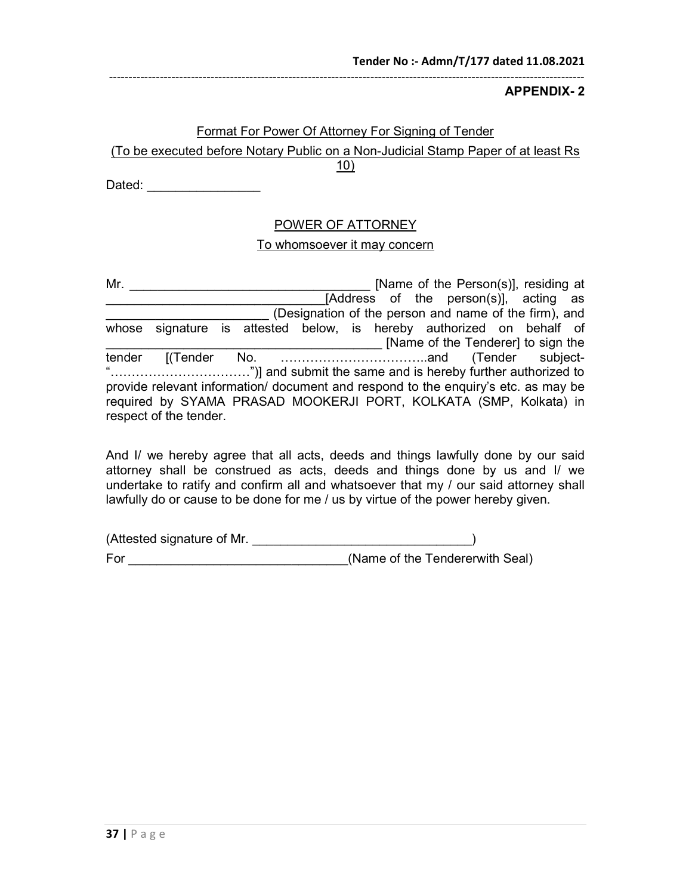APPENDIX- 2

#### Format For Power Of Attorney For Signing of Tender

# (To be executed before Notary Public on a Non-Judicial Stamp Paper of at least Rs

10)

Dated:  $\Box$ 

## POWER OF ATTORNEY

#### To whomsoever it may concern

Mr. \_\_\_\_\_\_\_\_\_\_\_\_\_\_\_\_\_\_\_\_\_\_\_\_\_\_\_\_\_\_\_\_\_\_ [Name of the Person(s)], residing at **Example 2.1 The Example 2.1 Terms** of the person(s)], acting as \_\_\_\_\_\_\_\_\_\_\_\_\_\_\_\_\_\_\_\_\_\_\_ (Designation of the person and name of the firm), and whose signature is attested below, is hereby authorized on behalf of \_\_\_\_\_\_\_\_\_\_\_\_\_\_\_\_\_\_\_\_\_\_\_\_\_\_\_\_\_\_\_\_\_\_\_\_\_\_\_ [Name of the Tenderer] to sign the tender [(Tender No. ……………………………..and (Tender subject- "……………………………")] and submit the same and is hereby further authorized to provide relevant information/ document and respond to the enquiry's etc. as may be required by SYAMA PRASAD MOOKERJI PORT, KOLKATA (SMP, Kolkata) in respect of the tender.

And I/ we hereby agree that all acts, deeds and things lawfully done by our said attorney shall be construed as acts, deeds and things done by us and I/ we undertake to ratify and confirm all and whatsoever that my / our said attorney shall lawfully do or cause to be done for me / us by virtue of the power hereby given.

| (Attested signature of Mr. |                                 |
|----------------------------|---------------------------------|
| For                        | (Name of the Tendererwith Seal) |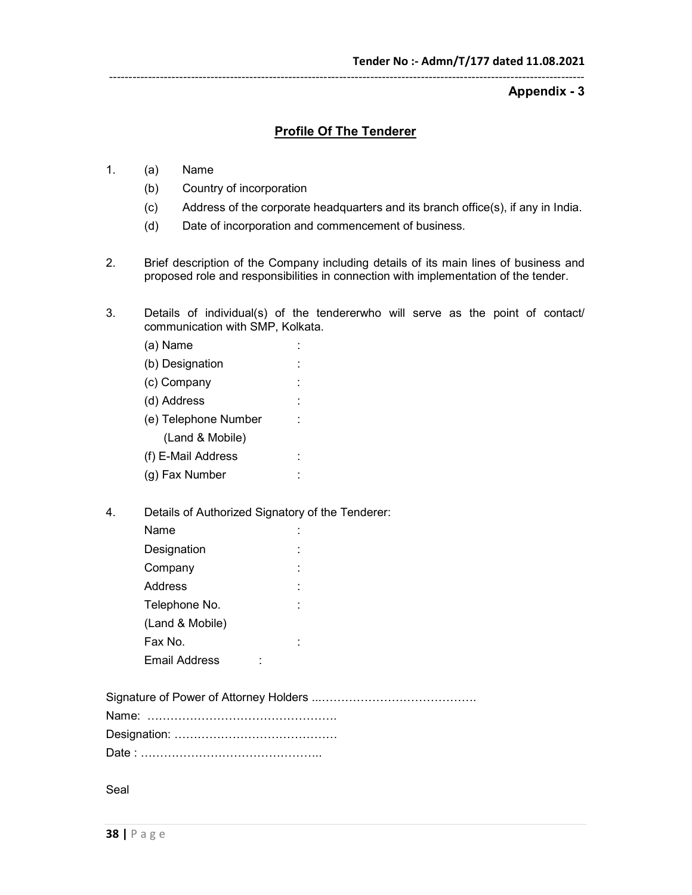Appendix - 3

#### Profile Of The Tenderer

--------------------------------------------------------------------------------------------------------------------------

- 1. (a) Name
	- (b) Country of incorporation
	- (c) Address of the corporate headquarters and its branch office(s), if any in India.
	- (d) Date of incorporation and commencement of business.
- 2. Brief description of the Company including details of its main lines of business and proposed role and responsibilities in connection with implementation of the tender.
- 3. Details of individual(s) of the tendererwho will serve as the point of contact/ communication with SMP, Kolkata.
	- (a) Name : (b) Designation : (c) Company : (d) Address : (e) Telephone Number : (Land & Mobile) (f) E-Mail Address : (g) Fax Number :
- 4. Details of Authorized Signatory of the Tenderer:

| Name            |  |
|-----------------|--|
| Designation     |  |
| Company         |  |
| Address         |  |
| Telephone No.   |  |
| (Land & Mobile) |  |
| Fax No.         |  |
| Email Address   |  |

Seal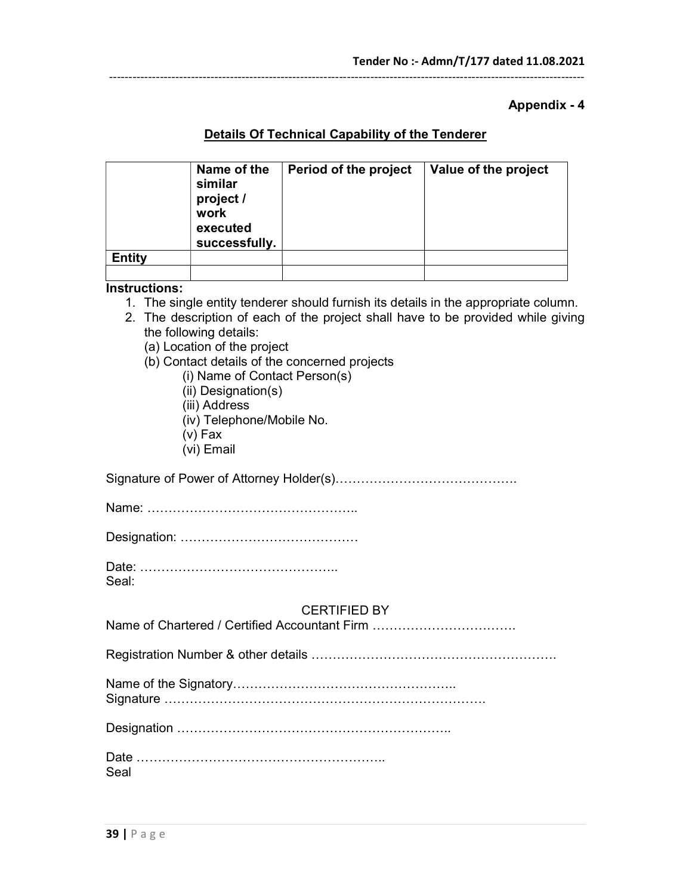#### Appendix - 4

# Details Of Technical Capability of the Tenderer

--------------------------------------------------------------------------------------------------------------------------

|               | Name of the<br>similar<br>project /<br>work<br>executed<br>successfully. | Period of the project | Value of the project |
|---------------|--------------------------------------------------------------------------|-----------------------|----------------------|
| <b>Entity</b> |                                                                          |                       |                      |
|               |                                                                          |                       |                      |

#### Instructions:

- 1. The single entity tenderer should furnish its details in the appropriate column.
- 2. The description of each of the project shall have to be provided while giving the following details:
	- (a) Location of the project
	- (b) Contact details of the concerned projects
		- (i) Name of Contact Person(s)
		- (ii) Designation(s)
		- (iii) Address
		- (iv) Telephone/Mobile No.
		- (v) Fax
		- (vi) Email

Signature of Power of Attorney Holder(s)…………………………………….

Name: …………………………………………..

Designation: ……………………………………

Date: ……………………………………….. Seal:

#### CERTIFIED BY

| Name of Chartered / Certified Accountant Firm |
|-----------------------------------------------|
|-----------------------------------------------|

Registration Number & other details ………………………………………………….

| $\ddot{\phantom{1}}$ |  |  |  |  |
|----------------------|--|--|--|--|

Signature ………………………………………………………………….

Designation ………………………………………………………..

| Date |  |  |  |  |  |  |  |  |  |  |  |
|------|--|--|--|--|--|--|--|--|--|--|--|
| Seal |  |  |  |  |  |  |  |  |  |  |  |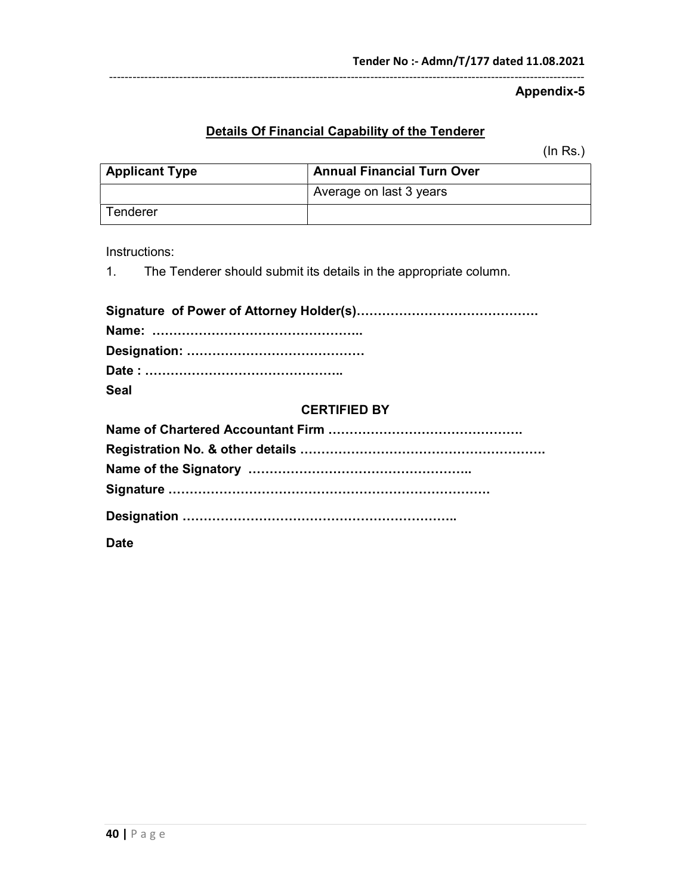Appendix-5

# Details Of Financial Capability of the Tenderer

--------------------------------------------------------------------------------------------------------------------------

(In Rs.)

| <b>Applicant Type</b> | <b>Annual Financial Turn Over</b> |
|-----------------------|-----------------------------------|
|                       | Average on last 3 years           |
| Tenderer              |                                   |

Instructions:

1. The Tenderer should submit its details in the appropriate column.

| <b>Seal</b>         |
|---------------------|
| <b>CERTIFIED BY</b> |

**Date**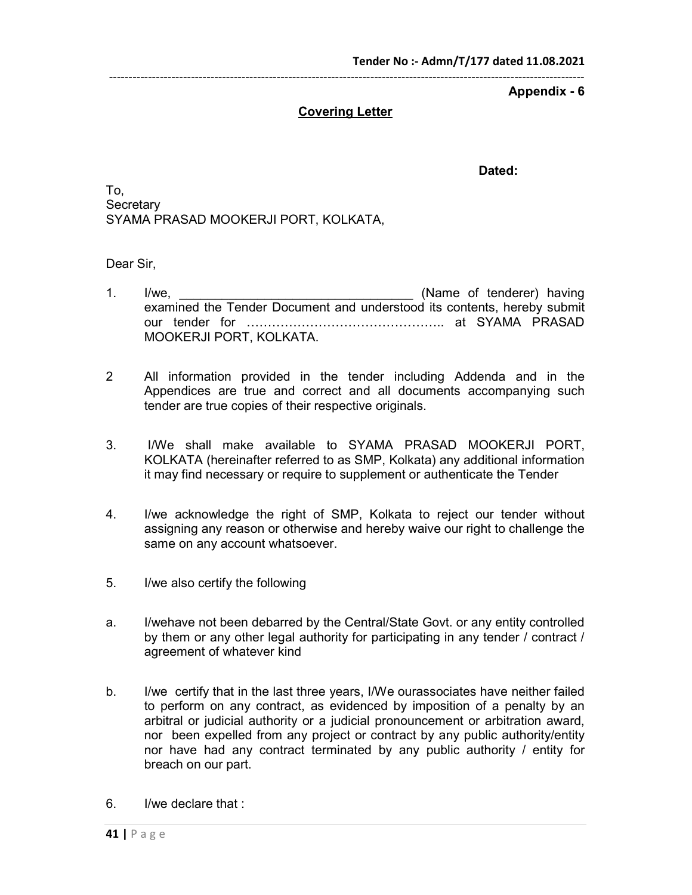## Covering Letter

Dated:

To, **Secretary** SYAMA PRASAD MOOKERJI PORT, KOLKATA,

Dear Sir,

- 1. I/we, <u>the contract of tenderer</u> having examined the Tender Document and understood its contents, hereby submit our tender for ……………………………………….. at SYAMA PRASAD MOOKERJI PORT, KOLKATA.
- 2 All information provided in the tender including Addenda and in the Appendices are true and correct and all documents accompanying such tender are true copies of their respective originals.
- 3. I/We shall make available to SYAMA PRASAD MOOKERJI PORT, KOLKATA (hereinafter referred to as SMP, Kolkata) any additional information it may find necessary or require to supplement or authenticate the Tender
- 4. I/we acknowledge the right of SMP, Kolkata to reject our tender without assigning any reason or otherwise and hereby waive our right to challenge the same on any account whatsoever.
- 5. I/we also certify the following
- a. I/wehave not been debarred by the Central/State Govt. or any entity controlled by them or any other legal authority for participating in any tender / contract / agreement of whatever kind
- b. I/we certify that in the last three years, I/We ourassociates have neither failed to perform on any contract, as evidenced by imposition of a penalty by an arbitral or judicial authority or a judicial pronouncement or arbitration award, nor been expelled from any project or contract by any public authority/entity nor have had any contract terminated by any public authority / entity for breach on our part.
- 6. I/we declare that :